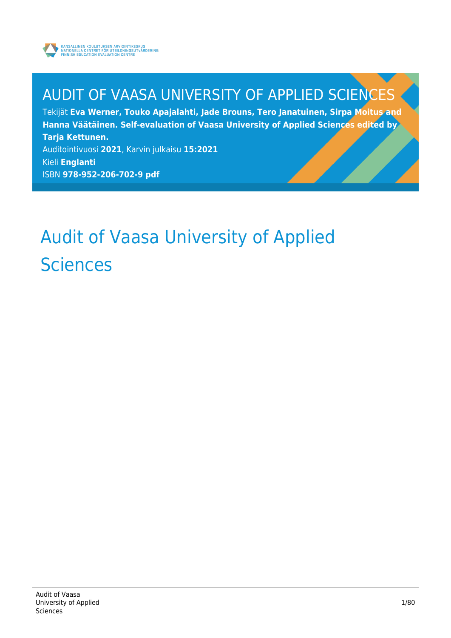

# AUDIT OF VAASA UNIVERSITY OF APPLIED SCIENCES

Tekijät **Eva Werner, Touko Apajalahti, Jade Brouns, Tero Janatuinen, Sirpa Moitus and Hanna Väätäinen. Self-evaluation of Vaasa University of Applied Sciences edited by Tarja Kettunen.** Auditointivuosi **2021**, Karvin julkaisu **15:2021** Kieli **Englanti**

ISBN **978-952-206-702-9 pdf**

# Audit of Vaasa University of Applied **Sciences**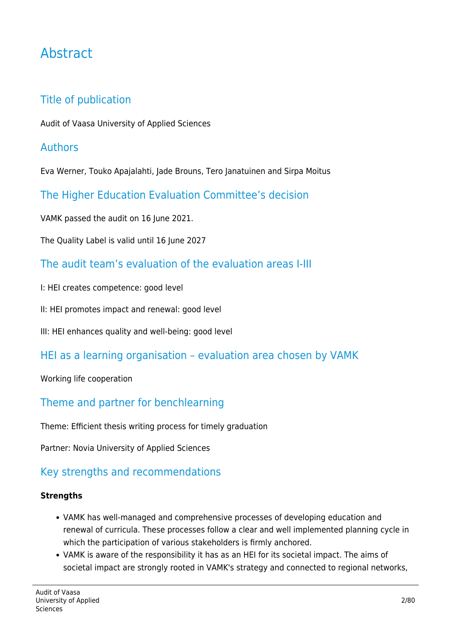# Abstract

### Title of publication

Audit of Vaasa University of Applied Sciences

#### Authors

Eva Werner, Touko Apajalahti, Jade Brouns, Tero Janatuinen and Sirpa Moitus

The Higher Education Evaluation Committee's decision

VAMK passed the audit on 16 June 2021.

The Quality Label is valid until 16 June 2027

#### The audit team's evaluation of the evaluation areas I-III

- I: HEI creates competence: good level
- II: HEI promotes impact and renewal: good level

III: HEI enhances quality and well-being: good level

#### HEI as a learning organisation – evaluation area chosen by VAMK

#### Working life cooperation

#### Theme and partner for benchlearning

Theme: Efficient thesis writing process for timely graduation

Partner: Novia University of Applied Sciences

## Key strengths and recommendations

#### **Strengths**

- VAMK has well-managed and comprehensive processes of developing education and renewal of curricula. These processes follow a clear and well implemented planning cycle in which the participation of various stakeholders is firmly anchored.
- VAMK is aware of the responsibility it has as an HEI for its societal impact. The aims of societal impact are strongly rooted in VAMK's strategy and connected to regional networks,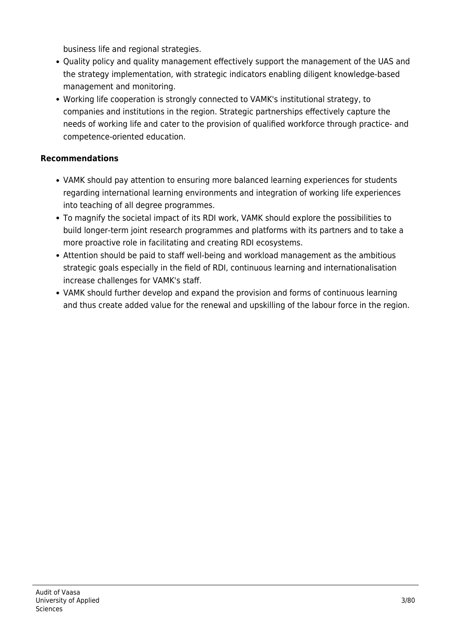business life and regional strategies.

- Quality policy and quality management effectively support the management of the UAS and the strategy implementation, with strategic indicators enabling diligent knowledge-based management and monitoring.
- Working life cooperation is strongly connected to VAMK's institutional strategy, to companies and institutions in the region. Strategic partnerships effectively capture the needs of working life and cater to the provision of qualified workforce through practice- and competence-oriented education.

#### **Recommendations**

- VAMK should pay attention to ensuring more balanced learning experiences for students regarding international learning environments and integration of working life experiences into teaching of all degree programmes.
- To magnify the societal impact of its RDI work, VAMK should explore the possibilities to build longer-term joint research programmes and platforms with its partners and to take a more proactive role in facilitating and creating RDI ecosystems.
- Attention should be paid to staff well-being and workload management as the ambitious strategic goals especially in the field of RDI, continuous learning and internationalisation increase challenges for VAMK's staff.
- VAMK should further develop and expand the provision and forms of continuous learning and thus create added value for the renewal and upskilling of the labour force in the region.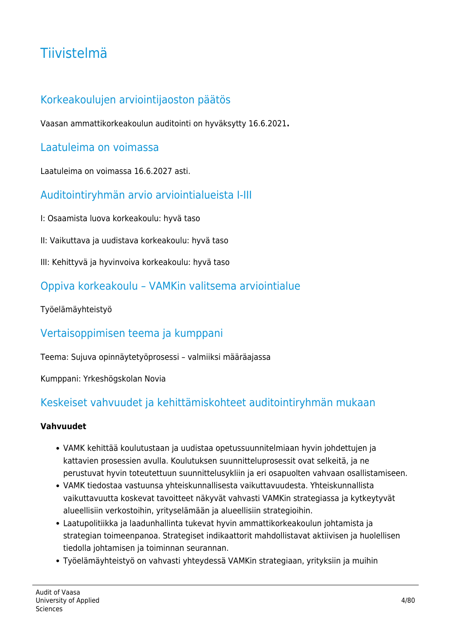# Tiivistelmä

## Korkeakoulujen arviointijaoston päätös

Vaasan ammattikorkeakoulun auditointi on hyväksytty 16.6.2021**.**

#### Laatuleima on voimassa

Laatuleima on voimassa 16.6.2027 asti.

#### Auditointiryhmän arvio arviointialueista I-III

- I: Osaamista luova korkeakoulu: hyvä taso
- II: Vaikuttava ja uudistava korkeakoulu: hyvä taso
- III: Kehittyvä ja hyvinvoiva korkeakoulu: hyvä taso

#### Oppiva korkeakoulu – VAMKin valitsema arviointialue

Työelämäyhteistyö

#### Vertaisoppimisen teema ja kumppani

Teema: Sujuva opinnäytetyöprosessi – valmiiksi määräajassa

Kumppani: Yrkeshögskolan Novia

#### Keskeiset vahvuudet ja kehittämiskohteet auditointiryhmän mukaan

#### **Vahvuudet**

- VAMK kehittää koulutustaan ja uudistaa opetussuunnitelmiaan hyvin johdettujen ja kattavien prosessien avulla. Koulutuksen suunnitteluprosessit ovat selkeitä, ja ne perustuvat hyvin toteutettuun suunnittelusykliin ja eri osapuolten vahvaan osallistamiseen.
- VAMK tiedostaa vastuunsa yhteiskunnallisesta vaikuttavuudesta. Yhteiskunnallista vaikuttavuutta koskevat tavoitteet näkyvät vahvasti VAMKin strategiassa ja kytkeytyvät alueellisiin verkostoihin, yrityselämään ja alueellisiin strategioihin.
- Laatupolitiikka ja laadunhallinta tukevat hyvin ammattikorkeakoulun johtamista ja strategian toimeenpanoa. Strategiset indikaattorit mahdollistavat aktiivisen ja huolellisen tiedolla johtamisen ja toiminnan seurannan.
- Työelämäyhteistyö on vahvasti yhteydessä VAMKin strategiaan, yrityksiin ja muihin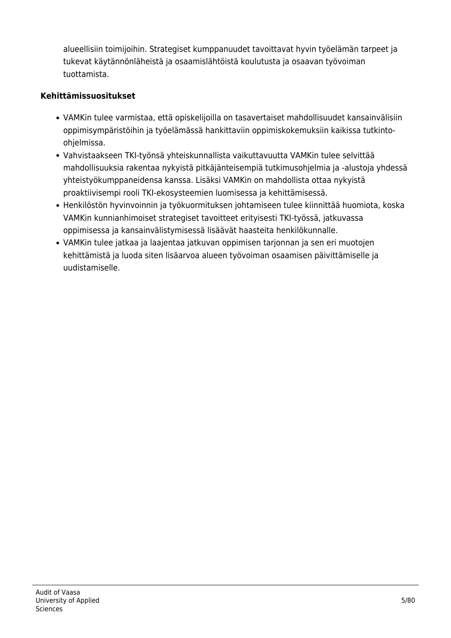alueellisiin toimijoihin. Strategiset kumppanuudet tavoittavat hyvin työelämän tarpeet ja tukevat käytännönläheistä ja osaamislähtöistä koulutusta ja osaavan työvoiman tuottamista.

#### **Kehittämissuositukset**

- VAMKin tulee varmistaa, että opiskelijoilla on tasavertaiset mahdollisuudet kansainvälisiin oppimisympäristöihin ja työelämässä hankittaviin oppimiskokemuksiin kaikissa tutkintoohjelmissa.
- Vahvistaakseen TKI-työnsä yhteiskunnallista vaikuttavuutta VAMKin tulee selvittää mahdollisuuksia rakentaa nykyistä pitkäjänteisempiä tutkimusohjelmia ja -alustoja yhdessä yhteistyökumppaneidensa kanssa. Lisäksi VAMKin on mahdollista ottaa nykyistä proaktiivisempi rooli TKI-ekosysteemien luomisessa ja kehittämisessä.
- Henkilöstön hyvinvoinnin ja työkuormituksen johtamiseen tulee kiinnittää huomiota, koska VAMKin kunnianhimoiset strategiset tavoitteet erityisesti TKI-työssä, jatkuvassa oppimisessa ja kansainvälistymisessä lisäävät haasteita henkilökunnalle.
- VAMKin tulee jatkaa ja laajentaa jatkuvan oppimisen tarjonnan ja sen eri muotojen kehittämistä ja luoda siten lisäarvoa alueen työvoiman osaamisen päivittämiselle ja uudistamiselle.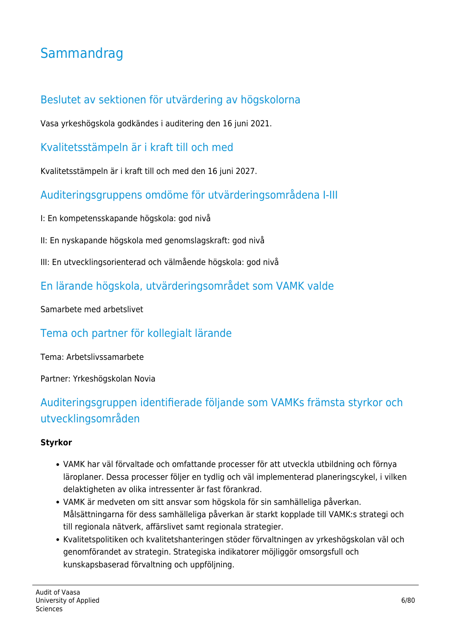# **Sammandrag**

### Beslutet av sektionen för utvärdering av högskolorna

Vasa yrkeshögskola godkändes i auditering den 16 juni 2021.

Kvalitetsstämpeln är i kraft till och med

Kvalitetsstämpeln är i kraft till och med den 16 juni 2027.

Auditeringsgruppens omdöme för utvärderingsområdena I-III

I: En kompetensskapande högskola: god nivå

II: En nyskapande högskola med genomslagskraft: god nivå

III: En utvecklingsorienterad och välmående högskola: god nivå

#### En lärande högskola, utvärderingsområdet som VAMK valde

Samarbete med arbetslivet

#### Tema och partner för kollegialt lärande

Tema: Arbetslivssamarbete

Partner: Yrkeshögskolan Novia

## Auditeringsgruppen identifierade följande som VAMKs främsta styrkor och utvecklingsområden

#### **Styrkor**

- VAMK har väl förvaltade och omfattande processer för att utveckla utbildning och förnya läroplaner. Dessa processer följer en tydlig och väl implementerad planeringscykel, i vilken delaktigheten av olika intressenter är fast förankrad.
- VAMK är medveten om sitt ansvar som högskola för sin samhälleliga påverkan. Målsättningarna för dess samhälleliga påverkan är starkt kopplade till VAMK:s strategi och till regionala nätverk, affärslivet samt regionala strategier.
- Kvalitetspolitiken och kvalitetshanteringen stöder förvaltningen av yrkeshögskolan väl och genomförandet av strategin. Strategiska indikatorer möjliggör omsorgsfull och kunskapsbaserad förvaltning och uppföljning.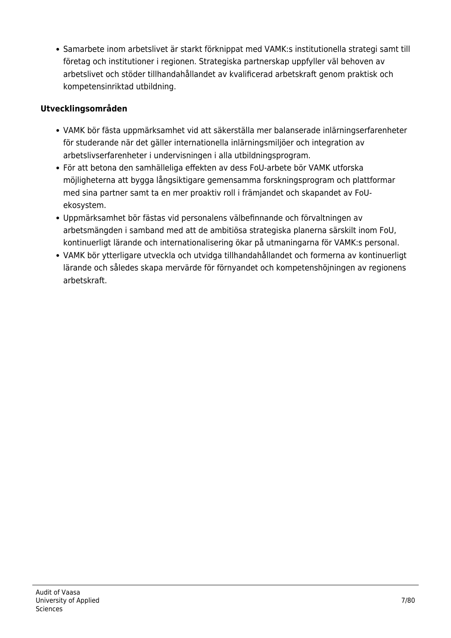Samarbete inom arbetslivet är starkt förknippat med VAMK:s institutionella strategi samt till företag och institutioner i regionen. Strategiska partnerskap uppfyller väl behoven av arbetslivet och stöder tillhandahållandet av kvalificerad arbetskraft genom praktisk och kompetensinriktad utbildning.

#### **Utvecklingsområden**

- VAMK bör fästa uppmärksamhet vid att säkerställa mer balanserade inlärningserfarenheter för studerande när det gäller internationella inlärningsmiljöer och integration av arbetslivserfarenheter i undervisningen i alla utbildningsprogram.
- För att betona den samhälleliga effekten av dess FoU-arbete bör VAMK utforska möjligheterna att bygga långsiktigare gemensamma forskningsprogram och plattformar med sina partner samt ta en mer proaktiv roll i främjandet och skapandet av FoUekosystem.
- Uppmärksamhet bör fästas vid personalens välbefinnande och förvaltningen av arbetsmängden i samband med att de ambitiösa strategiska planerna särskilt inom FoU, kontinuerligt lärande och internationalisering ökar på utmaningarna för VAMK:s personal.
- VAMK bör ytterligare utveckla och utvidga tillhandahållandet och formerna av kontinuerligt lärande och således skapa mervärde för förnyandet och kompetenshöjningen av regionens arbetskraft.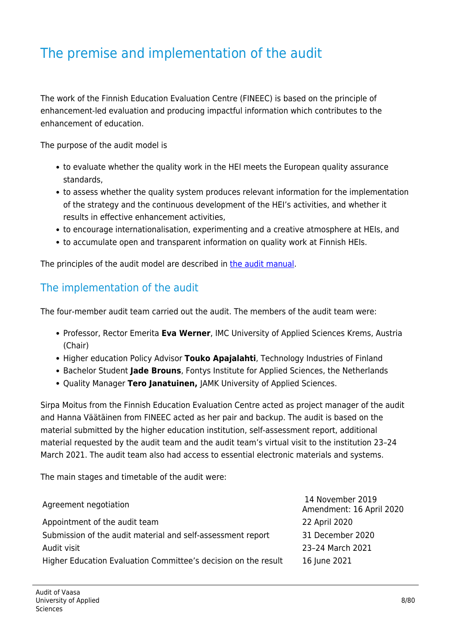# The premise and implementation of the audit

The work of the Finnish Education Evaluation Centre (FINEEC) is based on the principle of enhancement-led evaluation and producing impactful information which contributes to the enhancement of education.

The purpose of the audit model is

- to evaluate whether the quality work in the HEI meets the European quality assurance standards,
- to assess whether the quality system produces relevant information for the implementation of the strategy and the continuous development of the HEI's activities, and whether it results in effective enhancement activities,
- to encourage internationalisation, experimenting and a creative atmosphere at HEIs, and
- to accumulate open and transparent information on quality work at Finnish HEIs.

The principles of the audit model are described in [the audit manual](https://karvi.fi/en/publication/korkeakoulujen-auditointikasikirja-2019-2024-2/).

#### The implementation of the audit

The four-member audit team carried out the audit. The members of the audit team were:

- Professor, Rector Emerita **Eva Werner**, IMC University of Applied Sciences Krems, Austria (Chair)
- Higher education Policy Advisor Touko Apajalahti, Technology Industries of Finland
- **Bachelor Student Jade Brouns**, Fontys Institute for Applied Sciences, the Netherlands
- Quality Manager **Tero Janatuinen,** JAMK University of Applied Sciences.

Sirpa Moitus from the Finnish Education Evaluation Centre acted as project manager of the audit and Hanna Väätäinen from FINEEC acted as her pair and backup. The audit is based on the material submitted by the higher education institution, self-assessment report, additional material requested by the audit team and the audit team's virtual visit to the institution 23–24 March 2021. The audit team also had access to essential electronic materials and systems.

The main stages and timetable of the audit were:

| Agreement negotiation                                          | 14 November 2019<br>Amendment: 16 April 2020 |
|----------------------------------------------------------------|----------------------------------------------|
| Appointment of the audit team                                  | 22 April 2020                                |
| Submission of the audit material and self-assessment report    | 31 December 2020                             |
| Audit visit                                                    | 23-24 March 2021                             |
| Higher Education Evaluation Committee's decision on the result | 16 June 2021                                 |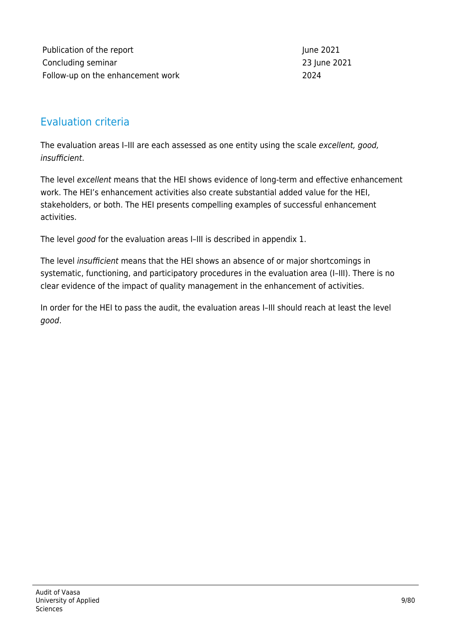Publication of the report **June 2021** Concluding seminar 23 June 2021 Follow-up on the enhancement work 2024

#### Evaluation criteria

The evaluation areas I-III are each assessed as one entity using the scale excellent, good, insufficient.

The level excellent means that the HEI shows evidence of long-term and effective enhancement work. The HEI's enhancement activities also create substantial added value for the HEI, stakeholders, or both. The HEI presents compelling examples of successful enhancement activities.

The level good for the evaluation areas I–III is described in appendix 1.

The level insufficient means that the HEI shows an absence of or major shortcomings in systematic, functioning, and participatory procedures in the evaluation area (I–III). There is no clear evidence of the impact of quality management in the enhancement of activities.

In order for the HEI to pass the audit, the evaluation areas I–III should reach at least the level good.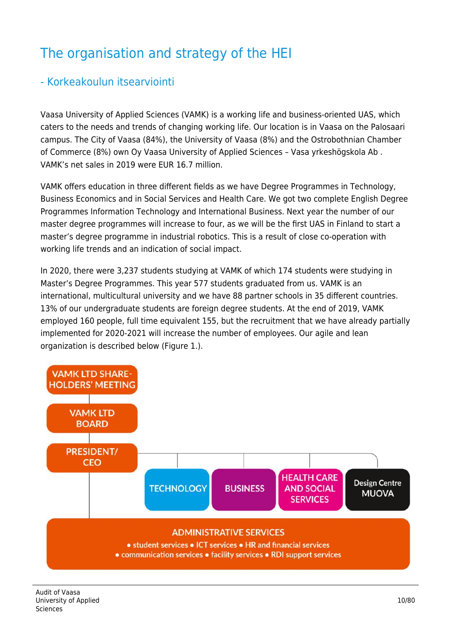# The organisation and strategy of the HEI

#### - Korkeakoulun itsearviointi

Vaasa University of Applied Sciences (VAMK) is a working life and business-oriented UAS, which caters to the needs and trends of changing working life. Our location is in Vaasa on the Palosaari campus. The City of Vaasa (84%), the University of Vaasa (8%) and the Ostrobothnian Chamber of Commerce (8%) own Oy Vaasa University of Applied Sciences – Vasa yrkeshögskola Ab . VAMK's net sales in 2019 were EUR 16.7 million.

VAMK offers education in three different fields as we have Degree Programmes in Technology, Business Economics and in Social Services and Health Care. We got two complete English Degree Programmes Information Technology and International Business. Next year the number of our master degree programmes will increase to four, as we will be the first UAS in Finland to start a master's degree programme in industrial robotics. This is a result of close co-operation with working life trends and an indication of social impact.

In 2020, there were 3,237 students studying at VAMK of which 174 students were studying in Master's Degree Programmes. This year 577 students graduated from us. VAMK is an international, multicultural university and we have 88 partner schools in 35 different countries. 13% of our undergraduate students are foreign degree students. At the end of 2019, VAMK employed 160 people, full time equivalent 155, but the recruitment that we have already partially implemented for 2020-2021 will increase the number of employees. Our agile and lean organization is described below (Figure 1.).

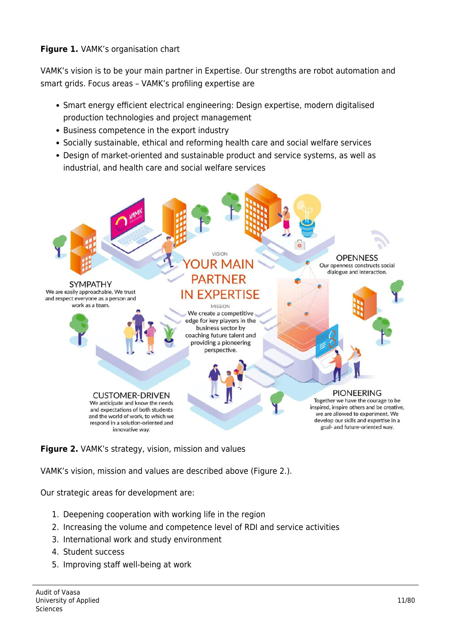#### **Figure 1.** VAMK's organisation chart

VAMK's vision is to be your main partner in Expertise. Our strengths are robot automation and smart grids. Focus areas – VAMK's profiling expertise are

- Smart energy efficient electrical engineering: Design expertise, modern digitalised production technologies and project management
- Business competence in the export industry
- Socially sustainable, ethical and reforming health care and social welfare services
- Design of market-oriented and sustainable product and service systems, as well as industrial, and health care and social welfare services





VAMK's vision, mission and values are described above (Figure 2.).

Our strategic areas for development are:

- 1. Deepening cooperation with working life in the region
- 2. Increasing the volume and competence level of RDI and service activities
- 3. International work and study environment
- 4. Student success
- 5. Improving staff well-being at work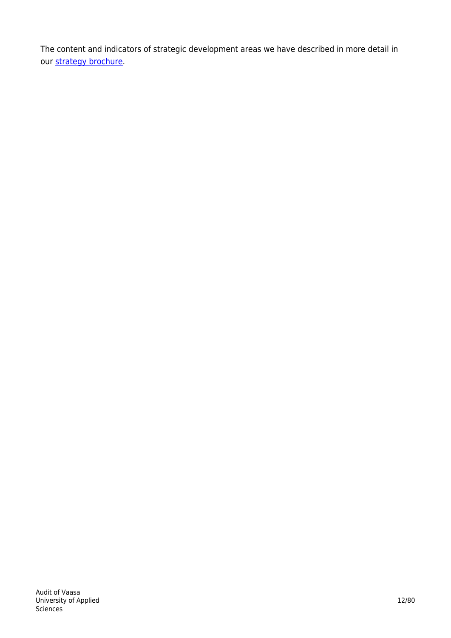The content and indicators of strategic development areas we have described in more detail in our [strategy brochure](https://www.vamk.fi/en/meidan_vamk/vamk-002/strategia/).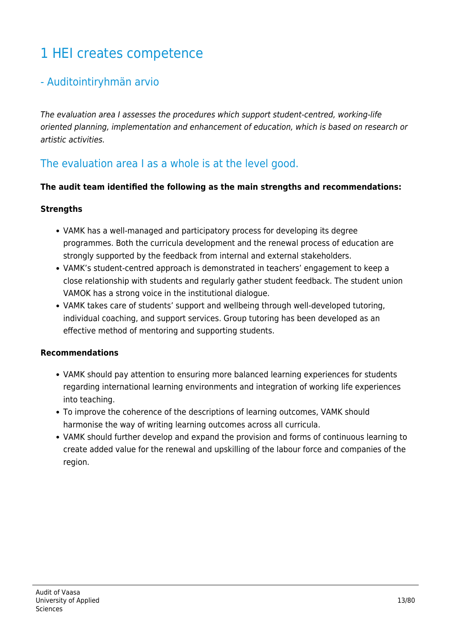# 1 HEI creates competence

#### - Auditointiryhmän arvio

The evaluation area I assesses the procedures which support student-centred, working-life oriented planning, implementation and enhancement of education, which is based on research or artistic activities.

#### The evaluation area I as a whole is at the level good.

#### **The audit team identified the following as the main strengths and recommendations:**

#### **Strengths**

- VAMK has a well-managed and participatory process for developing its degree programmes. Both the curricula development and the renewal process of education are strongly supported by the feedback from internal and external stakeholders.
- VAMK's student-centred approach is demonstrated in teachers' engagement to keep a close relationship with students and regularly gather student feedback. The student union VAMOK has a strong voice in the institutional dialogue.
- VAMK takes care of students' support and wellbeing through well-developed tutoring, individual coaching, and support services. Group tutoring has been developed as an effective method of mentoring and supporting students.

#### **Recommendations**

- VAMK should pay attention to ensuring more balanced learning experiences for students regarding international learning environments and integration of working life experiences into teaching.
- To improve the coherence of the descriptions of learning outcomes, VAMK should harmonise the way of writing learning outcomes across all curricula.
- VAMK should further develop and expand the provision and forms of continuous learning to create added value for the renewal and upskilling of the labour force and companies of the region.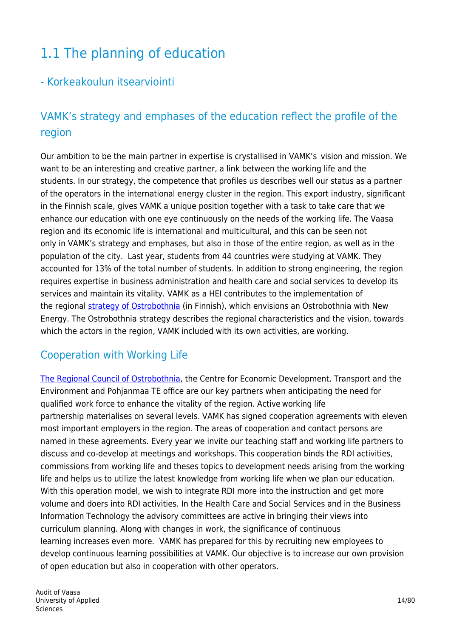# 1.1 The planning of education

#### - Korkeakoulun itsearviointi

## VAMK's strategy and emphases of the education reflect the profile of the region

Our ambition to be the main partner in expertise is crystallised in VAMK's  vision and mission. We want to be an interesting and creative partner, a link between the working life and the students. In our strategy, the competence that profiles us describes well our status as a partner of the operators in the international energy cluster in the region. This export industry, significant in the Finnish scale, gives VAMK a unique position together with a task to take care that we enhance our education with one eye continuously on the needs of the working life. The Vaasa region and its economic life is international and multicultural, and this can be seen not only in VAMK's strategy and emphases, but also in those of the entire region, as well as in the population of the city. Last year, students from 44 countries were studying at VAMK. They accounted for 13% of the total number of students. In addition to strong engineering, the region requires expertise in business administration and health care and social services to develop its services and maintain its vitality. VAMK as a HEI contributes to the implementation of the regional [strategy of Ostrobothnia](https://www.obotnia.fi/assets/Sidor/1/45/S3-strategia-SUOMI.pdf) (in Finnish), which envisions an Ostrobothnia with New Energy. The Ostrobothnia strategy describes the regional characteristics and the vision, towards which the actors in the region, VAMK included with its own activities, are working.

#### Cooperation with Working Life

[The Regional Council of Ostrobothnia](https://www.obotnia.fi/en/), the Centre for Economic Development, Transport and the Environment and Pohjanmaa TE office are our key partners when anticipating the need for qualified work force to enhance the vitality of the region. Active working life partnership materialises on several levels. VAMK has signed cooperation agreements with eleven most important employers in the region. The areas of cooperation and contact persons are named in these agreements. Every year we invite our teaching staff and working life partners to discuss and co-develop at meetings and workshops. This cooperation binds the RDI activities, commissions from working life and theses topics to development needs arising from the working life and helps us to utilize the latest knowledge from working life when we plan our education. With this operation model, we wish to integrate RDI more into the instruction and get more volume and doers into RDI activities. In the Health Care and Social Services and in the Business Information Technology the advisory committees are active in bringing their views into curriculum planning. Along with changes in work, the significance of continuous learning increases even more. VAMK has prepared for this by recruiting new employees to develop continuous learning possibilities at VAMK. Our objective is to increase our own provision of open education but also in cooperation with other operators.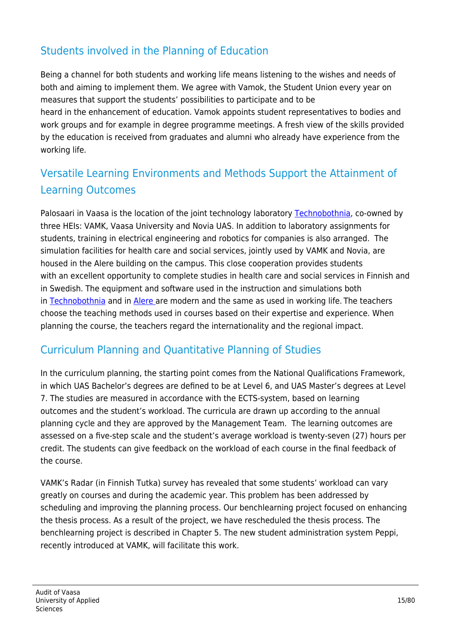## Students involved in the Planning of Education

Being a channel for both students and working life means listening to the wishes and needs of both and aiming to implement them. We agree with Vamok, the Student Union every year on measures that support the students' possibilities to participate and to be heard in the enhancement of education. Vamok appoints student representatives to bodies and work groups and for example in degree programme meetings. A fresh view of the skills provided by the education is received from graduates and alumni who already have experience from the working life.

## Versatile Learning Environments and Methods Support the Attainment of Learning Outcomes

Palosaari in Vaasa is the location of the joint technology laboratory [Technobothnia,](https://www.technobothnia.fi/) co-owned by three HEIs: VAMK, Vaasa University and Novia UAS. In addition to laboratory assignments for students, training in electrical engineering and robotics for companies is also arranged. The simulation facilities for health care and social services, jointly used by VAMK and Novia, are housed in the Alere building on the campus. This close cooperation provides students with an excellent opportunity to complete studies in health care and social services in Finnish and in Swedish. The equipment and software used in the instruction and simulations both in [Technobothnia](https://www.youtube.com/watch?v=BszQCS9ruFk&feature=youtu.be) and in [Alere](https://www.youtube.com/watch?v=_vXZLwnoZfc) are modern and the same as used in working life. The teachers choose the teaching methods used in courses based on their expertise and experience. When planning the course, the teachers regard the internationality and the regional impact.

## Curriculum Planning and Quantitative Planning of Studies

In the curriculum planning, the starting point comes from the National Qualifications Framework, in which UAS Bachelor's degrees are defined to be at Level 6, and UAS Master's degrees at Level 7. The studies are measured in accordance with the ECTS-system, based on learning outcomes and the student's workload. The curricula are drawn up according to the annual planning cycle and they are approved by the Management Team. The learning outcomes are assessed on a five-step scale and the student's average workload is twenty-seven (27) hours per credit. The students can give feedback on the workload of each course in the final feedback of the course.

VAMK's Radar (in Finnish Tutka) survey has revealed that some students' workload can vary greatly on courses and during the academic year. This problem has been addressed by scheduling and improving the planning process. Our benchlearning project focused on enhancing the thesis process. As a result of the project, we have rescheduled the thesis process. The benchlearning project is described in Chapter 5. The new student administration system Peppi, recently introduced at VAMK, will facilitate this work.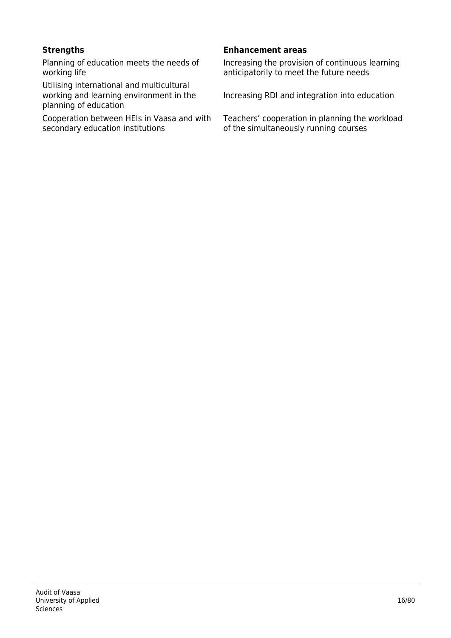Planning of education meets the needs of working life

Utilising international and multicultural working and learning environment in the planning of education

Cooperation between HEIs in Vaasa and with secondary education institutions

#### **Strengths Enhancement areas**

Increasing the provision of continuous learning anticipatorily to meet the future needs

Increasing RDI and integration into education

Teachers' cooperation in planning the workload of the simultaneously running courses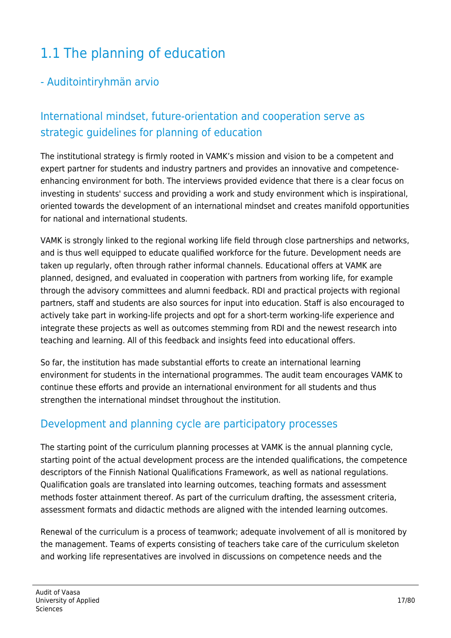# 1.1 The planning of education

#### - Auditointiryhmän arvio

## International mindset, future-orientation and cooperation serve as strategic guidelines for planning of education

The institutional strategy is firmly rooted in VAMK's mission and vision to be a competent and expert partner for students and industry partners and provides an innovative and competenceenhancing environment for both. The interviews provided evidence that there is a clear focus on investing in students' success and providing a work and study environment which is inspirational, oriented towards the development of an international mindset and creates manifold opportunities for national and international students.

VAMK is strongly linked to the regional working life field through close partnerships and networks, and is thus well equipped to educate qualified workforce for the future. Development needs are taken up regularly, often through rather informal channels. Educational offers at VAMK are planned, designed, and evaluated in cooperation with partners from working life, for example through the advisory committees and alumni feedback. RDI and practical projects with regional partners, staff and students are also sources for input into education. Staff is also encouraged to actively take part in working-life projects and opt for a short-term working-life experience and integrate these projects as well as outcomes stemming from RDI and the newest research into teaching and learning. All of this feedback and insights feed into educational offers.

So far, the institution has made substantial efforts to create an international learning environment for students in the international programmes. The audit team encourages VAMK to continue these efforts and provide an international environment for all students and thus strengthen the international mindset throughout the institution.

#### Development and planning cycle are participatory processes

The starting point of the curriculum planning processes at VAMK is the annual planning cycle, starting point of the actual development process are the intended qualifications, the competence descriptors of the Finnish National Qualifications Framework, as well as national regulations. Qualification goals are translated into learning outcomes, teaching formats and assessment methods foster attainment thereof. As part of the curriculum drafting, the assessment criteria, assessment formats and didactic methods are aligned with the intended learning outcomes.

Renewal of the curriculum is a process of teamwork; adequate involvement of all is monitored by the management. Teams of experts consisting of teachers take care of the curriculum skeleton and working life representatives are involved in discussions on competence needs and the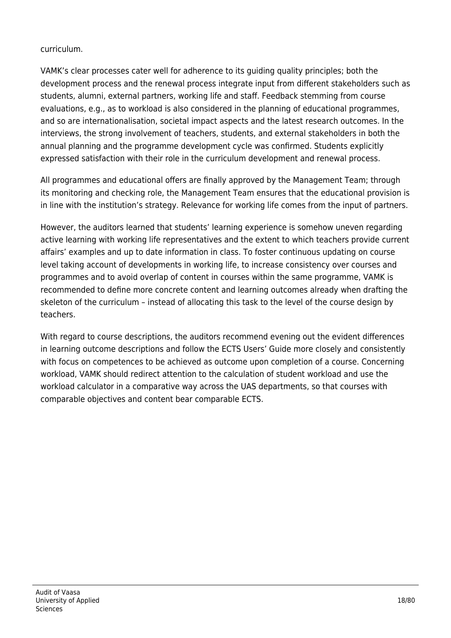#### curriculum.

VAMK's clear processes cater well for adherence to its guiding quality principles; both the development process and the renewal process integrate input from different stakeholders such as students, alumni, external partners, working life and staff. Feedback stemming from course evaluations, e.g., as to workload is also considered in the planning of educational programmes, and so are internationalisation, societal impact aspects and the latest research outcomes. In the interviews, the strong involvement of teachers, students, and external stakeholders in both the annual planning and the programme development cycle was confirmed. Students explicitly expressed satisfaction with their role in the curriculum development and renewal process.

All programmes and educational offers are finally approved by the Management Team; through its monitoring and checking role, the Management Team ensures that the educational provision is in line with the institution's strategy. Relevance for working life comes from the input of partners.

However, the auditors learned that students' learning experience is somehow uneven regarding active learning with working life representatives and the extent to which teachers provide current affairs' examples and up to date information in class. To foster continuous updating on course level taking account of developments in working life, to increase consistency over courses and programmes and to avoid overlap of content in courses within the same programme, VAMK is recommended to define more concrete content and learning outcomes already when drafting the skeleton of the curriculum – instead of allocating this task to the level of the course design by teachers.

With regard to course descriptions, the auditors recommend evening out the evident differences in learning outcome descriptions and follow the ECTS Users' Guide more closely and consistently with focus on competences to be achieved as outcome upon completion of a course. Concerning workload, VAMK should redirect attention to the calculation of student workload and use the workload calculator in a comparative way across the UAS departments, so that courses with comparable objectives and content bear comparable ECTS.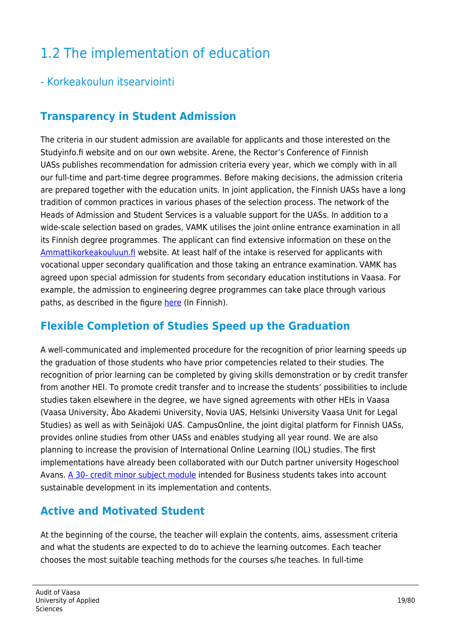# 1.2 The implementation of education

### - Korkeakoulun itsearviointi

### **Transparency in Student Admission**

The criteria in our student admission are available for applicants and those interested on the Studyinfo.fi website and on our own website. Arene, the Rector's Conference of Finnish UASs publishes recommendation for admission criteria every year, which we comply with in all our full-time and part-time degree programmes. Before making decisions, the admission criteria are prepared together with the education units. In joint application, the Finnish UASs have a long tradition of common practices in various phases of the selection process. The network of the Heads of Admission and Student Services is a valuable support for the UASs. In addition to a wide-scale selection based on grades, VAMK utilises the joint online entrance examination in all its Finnish degree programmes. The applicant can find extensive information on these on the [Ammattikorkeakouluun.fi](https://www.ammattikorkeakouluun.fi/) website. At least half of the intake is reserved for applicants with vocational upper secondary qualification and those taking an entrance examination. VAMK has agreed upon special admission for students from secondary education institutions in Vaasa. For example, the admission to engineering degree programmes can take place through various paths, as described in the figure [here](https://www.vamk.fi/haku/alat/insinoori/) (In Finnish).

#### **Flexible Completion of Studies Speed up the Graduation**

A well-communicated and implemented procedure for the recognition of prior learning speeds up the graduation of those students who have prior competencies related to their studies. The recognition of prior learning can be completed by giving skills demonstration or by credit transfer from another HEI. To promote credit transfer and to increase the students' possibilities to include studies taken elsewhere in the degree, we have signed agreements with other HEIs in Vaasa (Vaasa University, Åbo Akademi University, Novia UAS, Helsinki University Vaasa Unit for Legal Studies) as well as with Seinäjoki UAS. CampusOnline, the joint digital platform for Finnish UASs, provides online studies from other UASs and enables studying all year round. We are also planning to increase the provision of International Online Learning (IOL) studies. The first implementations have already been collaborated with our Dutch partner university Hogeschool Avans. [A 30- credit minor subject module](https://www.vamk.fi/en/news/virtual_exchange_gathers_together_international_students_whose_common_goal_is_sustainable_business/) intended for Business students takes into account sustainable development in its implementation and contents.

#### **Active and Motivated Student**

At the beginning of the course, the teacher will explain the contents, aims, assessment criteria and what the students are expected to do to achieve the learning outcomes. Each teacher chooses the most suitable teaching methods for the courses s/he teaches. In full-time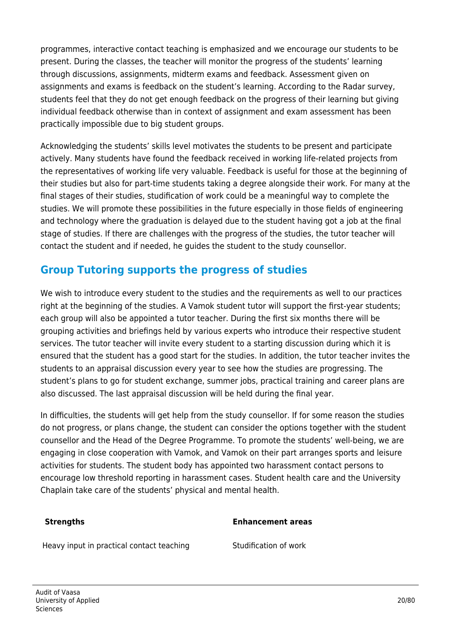programmes, interactive contact teaching is emphasized and we encourage our students to be present. During the classes, the teacher will monitor the progress of the students' learning through discussions, assignments, midterm exams and feedback. Assessment given on assignments and exams is feedback on the student's learning. According to the Radar survey, students feel that they do not get enough feedback on the progress of their learning but giving individual feedback otherwise than in context of assignment and exam assessment has been practically impossible due to big student groups.

Acknowledging the students' skills level motivates the students to be present and participate actively. Many students have found the feedback received in working life-related projects from the representatives of working life very valuable. Feedback is useful for those at the beginning of their studies but also for part-time students taking a degree alongside their work. For many at the final stages of their studies, studification of work could be a meaningful way to complete the studies. We will promote these possibilities in the future especially in those fields of engineering and technology where the graduation is delayed due to the student having got a job at the final stage of studies. If there are challenges with the progress of the studies, the tutor teacher will contact the student and if needed, he guides the student to the study counsellor.

## **Group Tutoring supports the progress of studies**

We wish to introduce every student to the studies and the requirements as well to our practices right at the beginning of the studies. A Vamok student tutor will support the first-year students; each group will also be appointed a tutor teacher. During the first six months there will be grouping activities and briefings held by various experts who introduce their respective student services. The tutor teacher will invite every student to a starting discussion during which it is ensured that the student has a good start for the studies. In addition, the tutor teacher invites the students to an appraisal discussion every year to see how the studies are progressing. The student's plans to go for student exchange, summer jobs, practical training and career plans are also discussed. The last appraisal discussion will be held during the final year.

In difficulties, the students will get help from the study counsellor. If for some reason the studies do not progress, or plans change, the student can consider the options together with the student counsellor and the Head of the Degree Programme. To promote the students' well-being, we are engaging in close cooperation with Vamok, and Vamok on their part arranges sports and leisure activities for students. The student body has appointed two harassment contact persons to encourage low threshold reporting in harassment cases. Student health care and the University Chaplain take care of the students' physical and mental health.

#### **Strengths Enhancement areas**

Heavy input in practical contact teaching Studification of work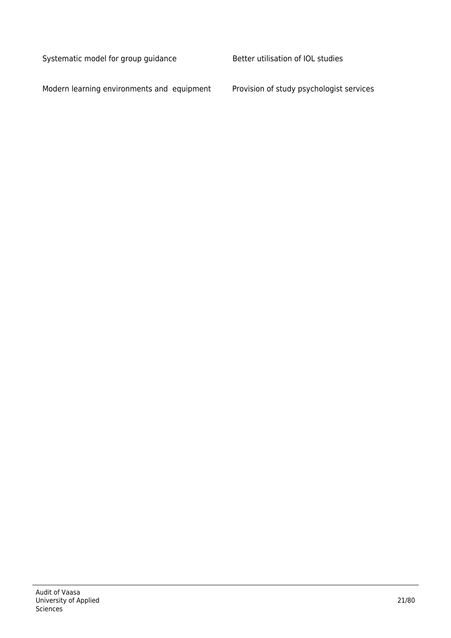Systematic model for group guidance Better utilisation of IOL studies

Modern learning environments and equipment Provision of study psychologist services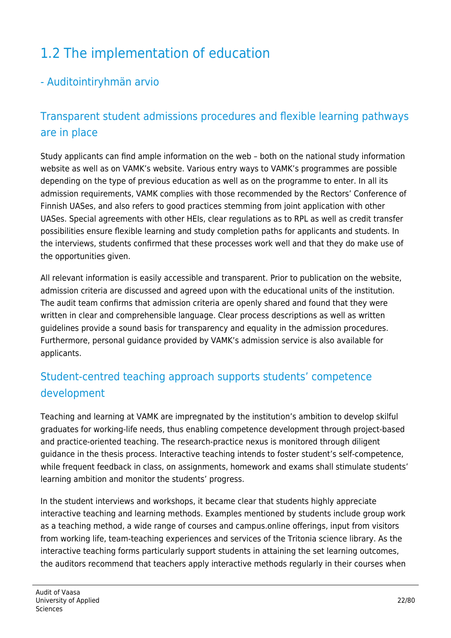# 1.2 The implementation of education

## - Auditointiryhmän arvio

## Transparent student admissions procedures and flexible learning pathways are in place

Study applicants can find ample information on the web – both on the national study information website as well as on VAMK's website. Various entry ways to VAMK's programmes are possible depending on the type of previous education as well as on the programme to enter. In all its admission requirements, VAMK complies with those recommended by the Rectors' Conference of Finnish UASes, and also refers to good practices stemming from joint application with other UASes. Special agreements with other HEIs, clear regulations as to RPL as well as credit transfer possibilities ensure flexible learning and study completion paths for applicants and students. In the interviews, students confirmed that these processes work well and that they do make use of the opportunities given.

All relevant information is easily accessible and transparent. Prior to publication on the website, admission criteria are discussed and agreed upon with the educational units of the institution. The audit team confirms that admission criteria are openly shared and found that they were written in clear and comprehensible language. Clear process descriptions as well as written guidelines provide a sound basis for transparency and equality in the admission procedures. Furthermore, personal guidance provided by VAMK's admission service is also available for applicants.

## Student-centred teaching approach supports students' competence development

Teaching and learning at VAMK are impregnated by the institution's ambition to develop skilful graduates for working-life needs, thus enabling competence development through project-based and practice-oriented teaching. The research-practice nexus is monitored through diligent guidance in the thesis process. Interactive teaching intends to foster student's self-competence, while frequent feedback in class, on assignments, homework and exams shall stimulate students' learning ambition and monitor the students' progress.

In the student interviews and workshops, it became clear that students highly appreciate interactive teaching and learning methods. Examples mentioned by students include group work as a teaching method, a wide range of courses and campus.online offerings, input from visitors from working life, team-teaching experiences and services of the Tritonia science library. As the interactive teaching forms particularly support students in attaining the set learning outcomes, the auditors recommend that teachers apply interactive methods regularly in their courses when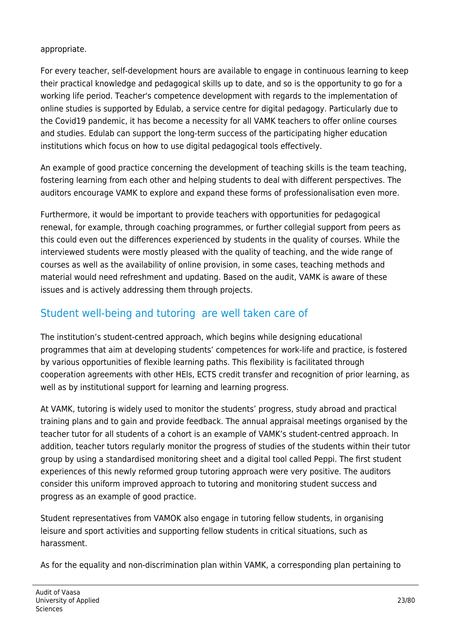#### appropriate.

For every teacher, self-development hours are available to engage in continuous learning to keep their practical knowledge and pedagogical skills up to date, and so is the opportunity to go for a working life period. Teacher's competence development with regards to the implementation of online studies is supported by Edulab, a service centre for digital pedagogy. Particularly due to the Covid19 pandemic, it has become a necessity for all VAMK teachers to offer online courses and studies. Edulab can support the long-term success of the participating higher education institutions which focus on how to use digital pedagogical tools effectively.

An example of good practice concerning the development of teaching skills is the team teaching, fostering learning from each other and helping students to deal with different perspectives. The auditors encourage VAMK to explore and expand these forms of professionalisation even more.

Furthermore, it would be important to provide teachers with opportunities for pedagogical renewal, for example, through coaching programmes, or further collegial support from peers as this could even out the differences experienced by students in the quality of courses. While the interviewed students were mostly pleased with the quality of teaching, and the wide range of courses as well as the availability of online provision, in some cases, teaching methods and material would need refreshment and updating. Based on the audit, VAMK is aware of these issues and is actively addressing them through projects.

## Student well-being and tutoring are well taken care of

The institution's student-centred approach, which begins while designing educational programmes that aim at developing students' competences for work-life and practice, is fostered by various opportunities of flexible learning paths. This flexibility is facilitated through cooperation agreements with other HEIs, ECTS credit transfer and recognition of prior learning, as well as by institutional support for learning and learning progress.

At VAMK, tutoring is widely used to monitor the students' progress, study abroad and practical training plans and to gain and provide feedback. The annual appraisal meetings organised by the teacher tutor for all students of a cohort is an example of VAMK's student-centred approach. In addition, teacher tutors regularly monitor the progress of studies of the students within their tutor group by using a standardised monitoring sheet and a digital tool called Peppi. The first student experiences of this newly reformed group tutoring approach were very positive. The auditors consider this uniform improved approach to tutoring and monitoring student success and progress as an example of good practice.

Student representatives from VAMOK also engage in tutoring fellow students, in organising leisure and sport activities and supporting fellow students in critical situations, such as harassment.

As for the equality and non-discrimination plan within VAMK, a corresponding plan pertaining to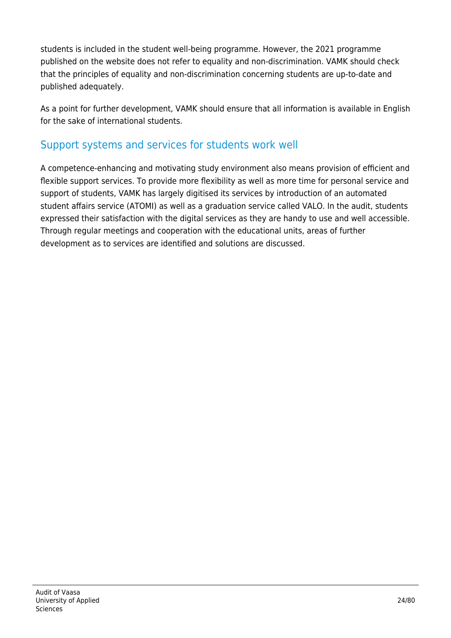students is included in the student well-being programme. However, the 2021 programme published on the website does not refer to equality and non-discrimination. VAMK should check that the principles of equality and non-discrimination concerning students are up-to-date and published adequately.

As a point for further development, VAMK should ensure that all information is available in English for the sake of international students.

#### Support systems and services for students work well

A competence-enhancing and motivating study environment also means provision of efficient and flexible support services. To provide more flexibility as well as more time for personal service and support of students, VAMK has largely digitised its services by introduction of an automated student affairs service (ATOMI) as well as a graduation service called VALO. In the audit, students expressed their satisfaction with the digital services as they are handy to use and well accessible. Through regular meetings and cooperation with the educational units, areas of further development as to services are identified and solutions are discussed.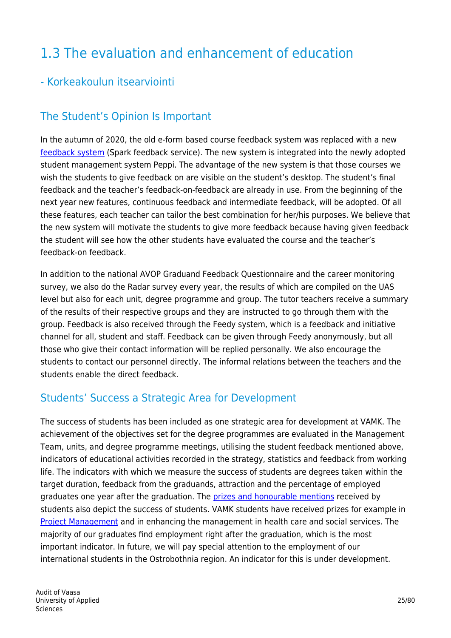# 1.3 The evaluation and enhancement of education

#### - Korkeakoulun itsearviointi

## The Student's Opinion Is Important

In the autumn of 2020, the old e-form based course feedback system was replaced with a new [feedback system](https://www.vamk.fi/en/opiskelijoille/opinto-opas/opiskeluvamkissa/palautteet/) (Spark feedback service). The new system is integrated into the newly adopted student management system Peppi. The advantage of the new system is that those courses we wish the students to give feedback on are visible on the student's desktop. The student's final feedback and the teacher's feedback-on-feedback are already in use. From the beginning of the next year new features, continuous feedback and intermediate feedback, will be adopted. Of all these features, each teacher can tailor the best combination for her/his purposes. We believe that the new system will motivate the students to give more feedback because having given feedback the student will see how the other students have evaluated the course and the teacher's feedback-on feedback.

In addition to the national AVOP Graduand Feedback Questionnaire and the career monitoring survey, we also do the Radar survey every year, the results of which are compiled on the UAS level but also for each unit, degree programme and group. The tutor teachers receive a summary of the results of their respective groups and they are instructed to go through them with the group. Feedback is also received through the Feedy system, which is a feedback and initiative channel for all, student and staff. Feedback can be given through Feedy anonymously, but all those who give their contact information will be replied personally. We also encourage the students to contact our personnel directly. The informal relations between the teachers and the students enable the direct feedback.

#### Students' Success a Strategic Area for Development

The success of students has been included as one strategic area for development at VAMK. The achievement of the objectives set for the degree programmes are evaluated in the Management Team, units, and degree programme meetings, utilising the student feedback mentioned above, indicators of educational activities recorded in the strategy, statistics and feedback from working life. The indicators with which we measure the success of students are degrees taken within the target duration, feedback from the graduands, attraction and the percentage of employed graduates one year after the graduation. The *[prizes and honourable mentions](https://www.vamk.fi/en/meidan_vamk/palkittuaosaamista/)* received by students also depict the success of students. VAMK students have received prizes for example in [Project Management](https://www.pry.fi/toiminta/ajankohtaista/vaasa_university_of_applied_sciences_wins_the_project_management_championship_2019_in_finland.1097.news?1312_o=10) and in enhancing the management in health care and social services. The majority of our graduates find employment right after the graduation, which is the most important indicator. In future, we will pay special attention to the employment of our international students in the Ostrobothnia region. An indicator for this is under development.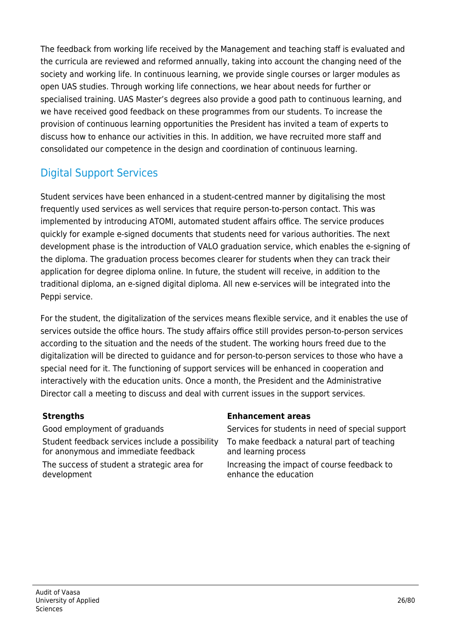The feedback from working life received by the Management and teaching staff is evaluated and the curricula are reviewed and reformed annually, taking into account the changing need of the society and working life. In continuous learning, we provide single courses or larger modules as open UAS studies. Through working life connections, we hear about needs for further or specialised training. UAS Master's degrees also provide a good path to continuous learning, and we have received good feedback on these programmes from our students. To increase the provision of continuous learning opportunities the President has invited a team of experts to discuss how to enhance our activities in this. In addition, we have recruited more staff and consolidated our competence in the design and coordination of continuous learning.

## Digital Support Services

Student services have been enhanced in a student-centred manner by digitalising the most frequently used services as well services that require person-to-person contact. This was implemented by introducing ATOMI, automated student affairs office. The service produces quickly for example e-signed documents that students need for various authorities. The next development phase is the introduction of VALO graduation service, which enables the e-signing of the diploma. The graduation process becomes clearer for students when they can track their application for degree diploma online. In future, the student will receive, in addition to the traditional diploma, an e-signed digital diploma. All new e-services will be integrated into the Peppi service.

For the student, the digitalization of the services means flexible service, and it enables the use of services outside the office hours. The study affairs office still provides person-to-person services according to the situation and the needs of the student. The working hours freed due to the digitalization will be directed to guidance and for person-to-person services to those who have a special need for it. The functioning of support services will be enhanced in cooperation and interactively with the education units. Once a month, the President and the Administrative Director call a meeting to discuss and deal with current issues in the support services. 

Student feedback services include a possibility for anonymous and immediate feedback

The success of student a strategic area for development

#### **Strengths Enhancement areas**

Good employment of graduands Services for students in need of special support To make feedback a natural part of teaching and learning process Increasing the impact of course feedback to enhance the education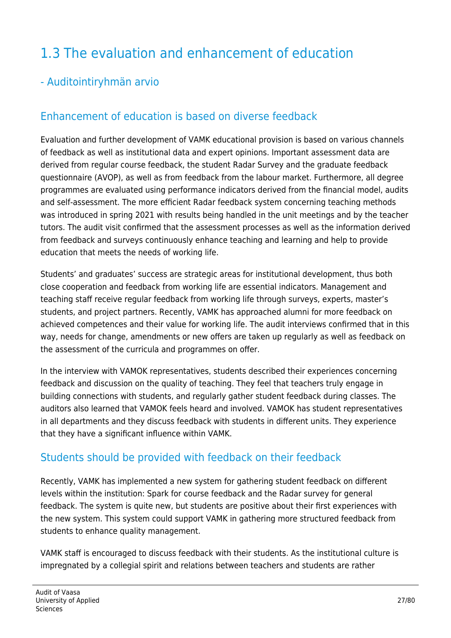# 1.3 The evaluation and enhancement of education

## - Auditointiryhmän arvio

## Enhancement of education is based on diverse feedback

Evaluation and further development of VAMK educational provision is based on various channels of feedback as well as institutional data and expert opinions. Important assessment data are derived from regular course feedback, the student Radar Survey and the graduate feedback questionnaire (AVOP), as well as from feedback from the labour market. Furthermore, all degree programmes are evaluated using performance indicators derived from the financial model, audits and self-assessment. The more efficient Radar feedback system concerning teaching methods was introduced in spring 2021 with results being handled in the unit meetings and by the teacher tutors. The audit visit confirmed that the assessment processes as well as the information derived from feedback and surveys continuously enhance teaching and learning and help to provide education that meets the needs of working life.

Students' and graduates' success are strategic areas for institutional development, thus both close cooperation and feedback from working life are essential indicators. Management and teaching staff receive regular feedback from working life through surveys, experts, master's students, and project partners. Recently, VAMK has approached alumni for more feedback on achieved competences and their value for working life. The audit interviews confirmed that in this way, needs for change, amendments or new offers are taken up regularly as well as feedback on the assessment of the curricula and programmes on offer.

In the interview with VAMOK representatives, students described their experiences concerning feedback and discussion on the quality of teaching. They feel that teachers truly engage in building connections with students, and regularly gather student feedback during classes. The auditors also learned that VAMOK feels heard and involved. VAMOK has student representatives in all departments and they discuss feedback with students in different units. They experience that they have a significant influence within VAMK.

#### Students should be provided with feedback on their feedback

Recently, VAMK has implemented a new system for gathering student feedback on different levels within the institution: Spark for course feedback and the Radar survey for general feedback. The system is quite new, but students are positive about their first experiences with the new system. This system could support VAMK in gathering more structured feedback from students to enhance quality management.

VAMK staff is encouraged to discuss feedback with their students. As the institutional culture is impregnated by a collegial spirit and relations between teachers and students are rather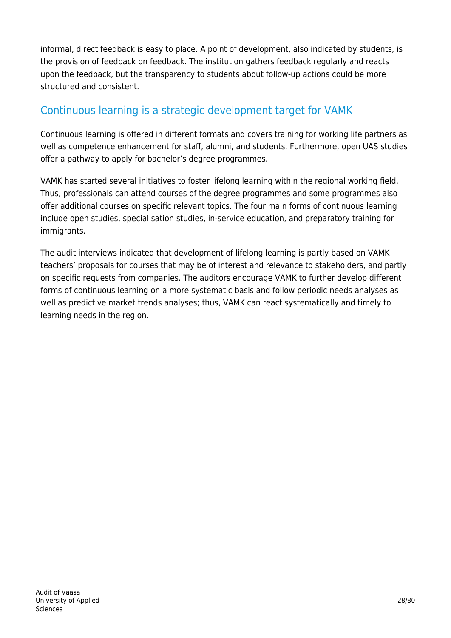informal, direct feedback is easy to place. A point of development, also indicated by students, is the provision of feedback on feedback. The institution gathers feedback regularly and reacts upon the feedback, but the transparency to students about follow-up actions could be more structured and consistent.

## Continuous learning is a strategic development target for VAMK

Continuous learning is offered in different formats and covers training for working life partners as well as competence enhancement for staff, alumni, and students. Furthermore, open UAS studies offer a pathway to apply for bachelor's degree programmes.

VAMK has started several initiatives to foster lifelong learning within the regional working field. Thus, professionals can attend courses of the degree programmes and some programmes also offer additional courses on specific relevant topics. The four main forms of continuous learning include open studies, specialisation studies, in-service education, and preparatory training for immigrants.

The audit interviews indicated that development of lifelong learning is partly based on VAMK teachers' proposals for courses that may be of interest and relevance to stakeholders, and partly on specific requests from companies. The auditors encourage VAMK to further develop different forms of continuous learning on a more systematic basis and follow periodic needs analyses as well as predictive market trends analyses; thus, VAMK can react systematically and timely to learning needs in the region.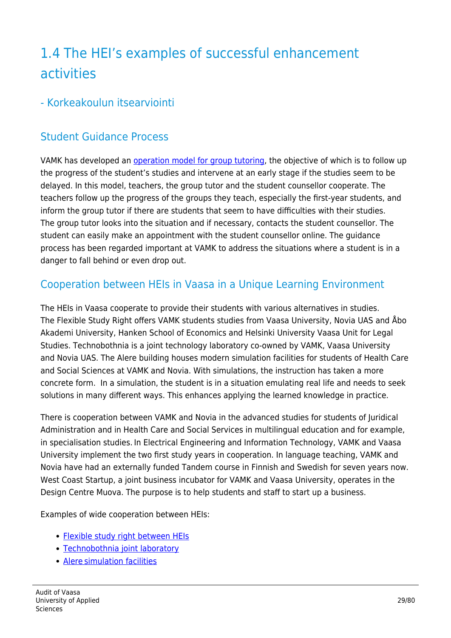# 1.4 The HEI's examples of successful enhancement activities

#### - Korkeakoulun itsearviointi

## Student Guidance Process

VAMK has developed an [operation model for group tutoring](https://www.vamk.fi/en/opiskelijoille/opinto-opas/opintojentueksi/opintoohjaus/tutustulisaa/ryhmanohjaajankasikirja/), the objective of which is to follow up the progress of the student's studies and intervene at an early stage if the studies seem to be delayed. In this model, teachers, the group tutor and the student counsellor cooperate. The teachers follow up the progress of the groups they teach, especially the first-year students, and inform the group tutor if there are students that seem to have difficulties with their studies. The group tutor looks into the situation and if necessary, contacts the student counsellor. The student can easily make an appointment with the student counsellor online. The guidance process has been regarded important at VAMK to address the situations where a student is in a danger to fall behind or even drop out.

#### Cooperation between HEIs in Vaasa in a Unique Learning Environment

The HEIs in Vaasa cooperate to provide their students with various alternatives in studies. The Flexible Study Right offers VAMK students studies from Vaasa University, Novia UAS and Åbo Akademi University, Hanken School of Economics and Helsinki University Vaasa Unit for Legal Studies. Technobothnia is a joint technology laboratory co-owned by VAMK, Vaasa University and Novia UAS. The Alere building houses modern simulation facilities for students of Health Care and Social Sciences at VAMK and Novia. With simulations, the instruction has taken a more concrete form. In a simulation, the student is in a situation emulating real life and needs to seek solutions in many different ways. This enhances applying the learned knowledge in practice.

There is cooperation between VAMK and Novia in the advanced studies for students of Juridical Administration and in Health Care and Social Services in multilingual education and for example, in specialisation studies. In Electrical Engineering and Information Technology, VAMK and Vaasa University implement the two first study years in cooperation. In language teaching, VAMK and Novia have had an externally funded Tandem course in Finnish and Swedish for seven years now. West Coast Startup, a joint business incubator for VAMK and Vaasa University, operates in the Design Centre Muova. The purpose is to help students and staff to start up a business.

Examples of wide cooperation between HEIs:

- [Flexible study right between HEIs](https://www.vamk.fi/en/uudet_opiskelijat/uusille_opiskelijoille/opiskelijaelamaa_vaasassa/opiskelijaelamaa/jooopinnot/)
- [Technobothnia joint laboratory](https://www.youtube.com/watch?v=BszQCS9ruFk&feature=youtu.be)
- [Alere simulation facilities](https://www.youtube.com/watch?v=_vXZLwnoZfc)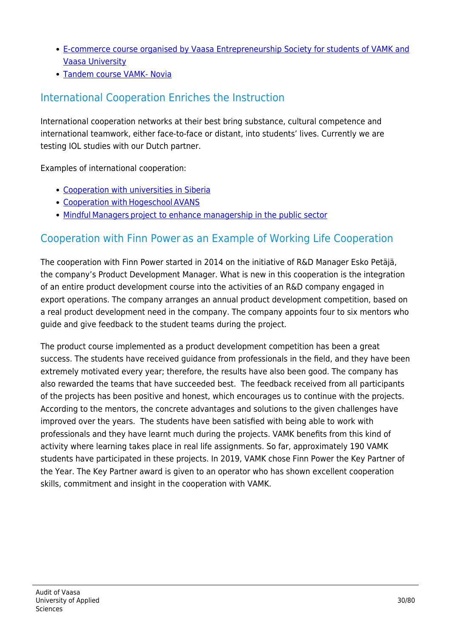- [E-commerce course organised by Vaasa Entrepreneurship Society for students of VAMK and](https://www.vamk.fi/en/news/on_vamk-s_and_the_university-s_joint_online_store_course/) [Vaasa University](https://www.vamk.fi/en/news/on_vamk-s_and_the_university-s_joint_online_store_course/)
- [Tandem course VAMK- Novia](https://www.vamk.fi/en/news/vamk-s_and_novia-s_students_in_a_joint_tandem_language_traineeship/)

## International Cooperation Enriches the Instruction

International cooperation networks at their best bring substance, cultural competence and international teamwork, either face-to-face or distant, into students' lives. Currently we are testing IOL studies with our Dutch partner.

Examples of international cooperation:

- [Cooperation with universities in Siberia](https://news.tpu.ru/en/news/2020/05/29/36273/)
- [Cooperation with Hogeschool AVANS](https://www.vamk.fi/en/news/virtual_exchange_gathers_together_international_students_whose_common_goal_is_sustainable_business/)
- Mindful Managers project to enhance managership in the public sector

#### Cooperation with Finn Power as an Example of Working Life Cooperation

The cooperation with Finn Power started in 2014 on the initiative of R&D Manager Esko Petäjä, the company's Product Development Manager. What is new in this cooperation is the integration of an entire product development course into the activities of an R&D company engaged in export operations. The company arranges an annual product development competition, based on a real product development need in the company. The company appoints four to six mentors who guide and give feedback to the student teams during the project.

The product course implemented as a product development competition has been a great success. The students have received guidance from professionals in the field, and they have been extremely motivated every year; therefore, the results have also been good. The company has also rewarded the teams that have succeeded best. The feedback received from all participants of the projects has been positive and honest, which encourages us to continue with the projects. According to the mentors, the concrete advantages and solutions to the given challenges have improved over the years. The students have been satisfied with being able to work with professionals and they have learnt much during the projects. VAMK benefits from this kind of activity where learning takes place in real life assignments. So far, approximately 190 VAMK students have participated in these projects. In 2019, VAMK chose Finn Power the Key Partner of the Year. The Key Partner award is given to an operator who has shown excellent cooperation skills, commitment and insight in the cooperation with VAMK.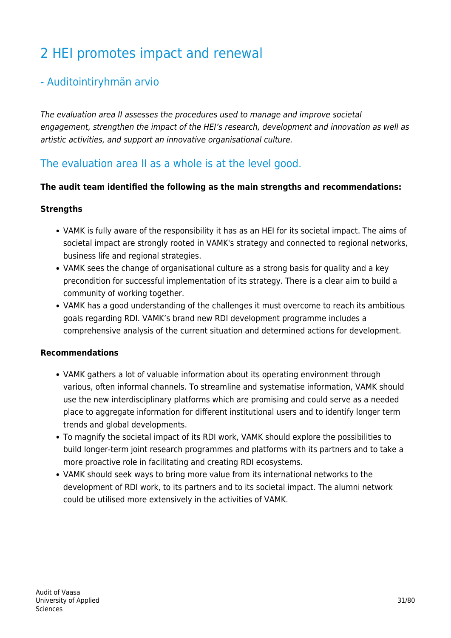# 2 HEI promotes impact and renewal

#### - Auditointiryhmän arvio

The evaluation area II assesses the procedures used to manage and improve societal engagement, strengthen the impact of the HEI's research, development and innovation as well as artistic activities, and support an innovative organisational culture.

#### The evaluation area II as a whole is at the level good.

#### **The audit team identified the following as the main strengths and recommendations:**

#### **Strengths**

- VAMK is fully aware of the responsibility it has as an HEI for its societal impact. The aims of societal impact are strongly rooted in VAMK's strategy and connected to regional networks, business life and regional strategies.
- VAMK sees the change of organisational culture as a strong basis for quality and a key precondition for successful implementation of its strategy. There is a clear aim to build a community of working together.
- VAMK has a good understanding of the challenges it must overcome to reach its ambitious goals regarding RDI. VAMK's brand new RDI development programme includes a comprehensive analysis of the current situation and determined actions for development.

#### **Recommendations**

- VAMK gathers a lot of valuable information about its operating environment through various, often informal channels. To streamline and systematise information, VAMK should use the new interdisciplinary platforms which are promising and could serve as a needed place to aggregate information for different institutional users and to identify longer term trends and global developments.
- To magnify the societal impact of its RDI work, VAMK should explore the possibilities to build longer-term joint research programmes and platforms with its partners and to take a more proactive role in facilitating and creating RDI ecosystems.
- VAMK should seek ways to bring more value from its international networks to the development of RDI work, to its partners and to its societal impact. The alumni network could be utilised more extensively in the activities of VAMK.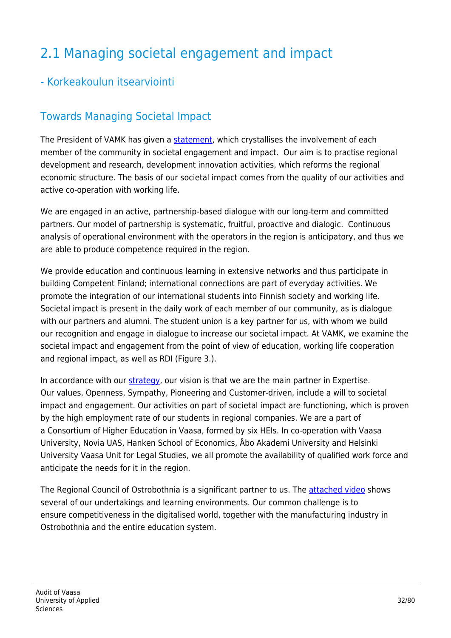# 2.1 Managing societal engagement and impact

#### - Korkeakoulun itsearviointi

## Towards Managing Societal Impact

The President of VAMK has given a [statement](https://www.vamk.fi/en/meidan_vamk/vamk-002/strategia/yvv/), which crystallises the involvement of each member of the community in societal engagement and impact. Our aim is to practise regional development and research, development innovation activities, which reforms the regional economic structure. The basis of our societal impact comes from the quality of our activities and active co-operation with working life.

We are engaged in an active, partnership-based dialogue with our long-term and committed partners. Our model of partnership is systematic, fruitful, proactive and dialogic. Continuous analysis of operational environment with the operators in the region is anticipatory, and thus we are able to produce competence required in the region.

We provide education and continuous learning in extensive networks and thus participate in building Competent Finland; international connections are part of everyday activities. We promote the integration of our international students into Finnish society and working life. Societal impact is present in the daily work of each member of our community, as is dialogue with our partners and alumni. The student union is a key partner for us, with whom we build our recognition and engage in dialogue to increase our societal impact. At VAMK, we examine the societal impact and engagement from the point of view of education, working life cooperation and regional impact, as well as RDI (Figure 3.).

In accordance with our [strategy](https://www.vamk.fi/en/meidan_vamk/vamk-002/strategia/), our vision is that we are the main partner in Expertise. Our values, Openness, Sympathy, Pioneering and Customer-driven, include a will to societal impact and engagement. Our activities on part of societal impact are functioning, which is proven by the high employment rate of our students in regional companies. We are a part of a Consortium of Higher Education in Vaasa, formed by six HEIs. In co-operation with Vaasa University, Novia UAS, Hanken School of Economics, Åbo Akademi University and Helsinki University Vaasa Unit for Legal Studies, we all promote the availability of qualified work force and anticipate the needs for it in the region.

The Regional Council of Ostrobothnia is a significant partner to us. The [attached video](https://www.youtube.com/watch?v=Q2MCNP9uT8k&feature=youtu.be) shows several of our undertakings and learning environments. Our common challenge is to ensure competitiveness in the digitalised world, together with the manufacturing industry in Ostrobothnia and the entire education system.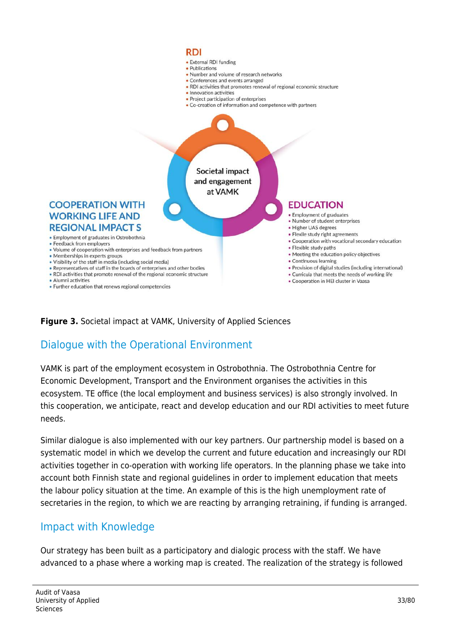

#### **Figure 3.** Societal impact at VAMK, University of Applied Sciences

#### Dialogue with the Operational Environment

VAMK is part of the employment ecosystem in Ostrobothnia. The Ostrobothnia Centre for Economic Development, Transport and the Environment organises the activities in this ecosystem. TE office (the local employment and business services) is also strongly involved. In this cooperation, we anticipate, react and develop education and our RDI activities to meet future needs.

Similar dialogue is also implemented with our key partners. Our partnership model is based on a systematic model in which we develop the current and future education and increasingly our RDI activities together in co-operation with working life operators. In the planning phase we take into account both Finnish state and regional guidelines in order to implement education that meets the labour policy situation at the time. An example of this is the high unemployment rate of secretaries in the region, to which we are reacting by arranging retraining, if funding is arranged.

#### Impact with Knowledge

Our strategy has been built as a participatory and dialogic process with the staff. We have advanced to a phase where a working map is created. The realization of the strategy is followed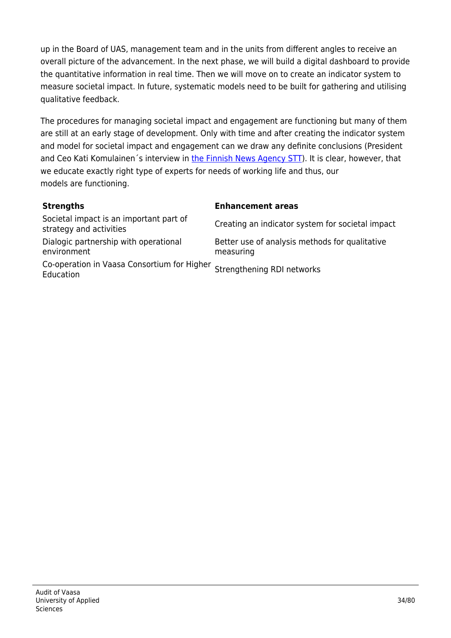up in the Board of UAS, management team and in the units from different angles to receive an overall picture of the advancement. In the next phase, we will build a digital dashboard to provide the quantitative information in real time. Then we will move on to create an indicator system to measure societal impact. In future, systematic models need to be built for gathering and utilising qualitative feedback.

The procedures for managing societal impact and engagement are functioning but many of them are still at an early stage of development. Only with time and after creating the indicator system and model for societal impact and engagement can we draw any definite conclusions (President and Ceo Kati Komulainen's interview in [the Finnish News Agency STT\)](https://www.sttinfo.fi/tiedote/vamk-nostaa-yhteiskunnallisen-vaikuttavuuden-keskioon-tavoitteena-palvella-aluetta-entista-paremmin?publisherId=67975980&releaseId=69890317). It is clear, however, that we educate exactly right type of experts for needs of working life and thus, our models are functioning.

#### **Strengths Enhancement areas**

| Societal impact is an important part of<br>strategy and activities | Creating an indicator system for societal impact            |
|--------------------------------------------------------------------|-------------------------------------------------------------|
| Dialogic partnership with operational<br>environment               | Better use of analysis methods for qualitative<br>measuring |
| Co-operation in Vaasa Consortium for Higher<br>Education           | Strengthening RDI networks                                  |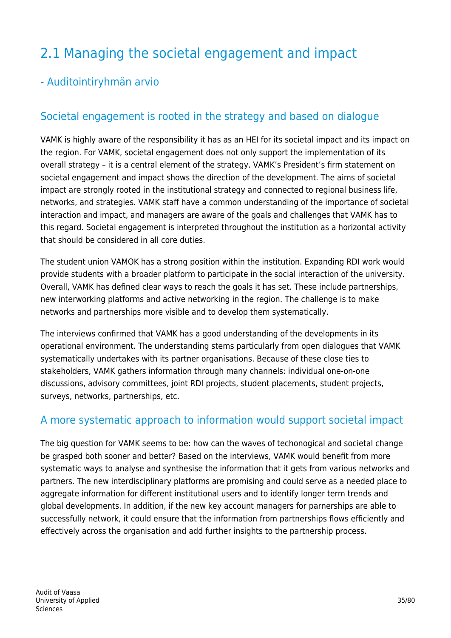# 2.1 Managing the societal engagement and impact

## - Auditointiryhmän arvio

### Societal engagement is rooted in the strategy and based on dialogue

VAMK is highly aware of the responsibility it has as an HEI for its societal impact and its impact on the region. For VAMK, societal engagement does not only support the implementation of its overall strategy – it is a central element of the strategy. VAMK's President's firm statement on societal engagement and impact shows the direction of the development. The aims of societal impact are strongly rooted in the institutional strategy and connected to regional business life, networks, and strategies. VAMK staff have a common understanding of the importance of societal interaction and impact, and managers are aware of the goals and challenges that VAMK has to this regard. Societal engagement is interpreted throughout the institution as a horizontal activity that should be considered in all core duties.

The student union VAMOK has a strong position within the institution. Expanding RDI work would provide students with a broader platform to participate in the social interaction of the university. Overall, VAMK has defined clear ways to reach the goals it has set. These include partnerships, new interworking platforms and active networking in the region. The challenge is to make networks and partnerships more visible and to develop them systematically.

The interviews confirmed that VAMK has a good understanding of the developments in its operational environment. The understanding stems particularly from open dialogues that VAMK systematically undertakes with its partner organisations. Because of these close ties to stakeholders, VAMK gathers information through many channels: individual one-on-one discussions, advisory committees, joint RDI projects, student placements, student projects, surveys, networks, partnerships, etc.

#### A more systematic approach to information would support societal impact

The big question for VAMK seems to be: how can the waves of techonogical and societal change be grasped both sooner and better? Based on the interviews, VAMK would benefit from more systematic ways to analyse and synthesise the information that it gets from various networks and partners. The new interdisciplinary platforms are promising and could serve as a needed place to aggregate information for different institutional users and to identify longer term trends and global developments. In addition, if the new key account managers for parnerships are able to successfully network, it could ensure that the information from partnerships flows efficiently and effectively across the organisation and add further insights to the partnership process.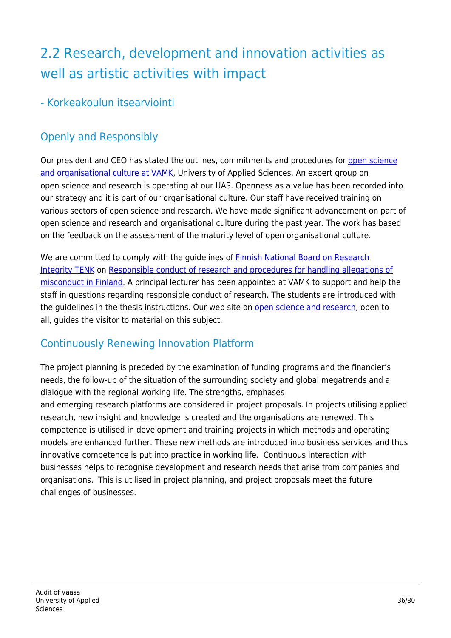# 2.2 Research, development and innovation activities as well as artistic activities with impact

- Korkeakoulun itsearviointi

# Openly and Responsibly

Our president and CEO has stated the outlines, commitments and procedures for [open science](https://www.vamk.fi/en/tki/toiminta/avointiedejatutkimus/) [and organisational culture at VAMK](https://www.vamk.fi/en/tki/toiminta/avointiedejatutkimus/), University of Applied Sciences. An expert group on open science and research is operating at our UAS. Openness as a value has been recorded into our strategy and it is part of our organisational culture. Our staff have received training on various sectors of open science and research. We have made significant advancement on part of open science and research and organisational culture during the past year. The work has based on the feedback on the assessment of the maturity level of open organisational culture. 

We are committed to comply with the guidelines of [Finnish National Board on Research](https://tenk.fi/en/tenk) [Integrity TENK](https://tenk.fi/en/tenk) on [Responsible conduct of research and procedures for handling allegations of](https://tenk.fi/sites/tenk.fi/files/HTK_ohje_2012.pdf) [misconduct in Finland](https://tenk.fi/sites/tenk.fi/files/HTK_ohje_2012.pdf). A principal lecturer has been appointed at VAMK to support and help the staff in questions regarding responsible conduct of research. The students are introduced with the guidelines in the thesis instructions. Our web site on [open science and research,](https://www.vamk.fi/en/tki/toiminta/avointiedejatutkimus/) open to all, guides the visitor to material on this subject.

## Continuously Renewing Innovation Platform

The project planning is preceded by the examination of funding programs and the financier's needs, the follow-up of the situation of the surrounding society and global megatrends and a dialogue with the regional working life. The strengths, emphases and emerging research platforms are considered in project proposals. In projects utilising applied research, new insight and knowledge is created and the organisations are renewed. This competence is utilised in development and training projects in which methods and operating models are enhanced further. These new methods are introduced into business services and thus innovative competence is put into practice in working life. Continuous interaction with businesses helps to recognise development and research needs that arise from companies and organisations. This is utilised in project planning, and project proposals meet the future challenges of businesses.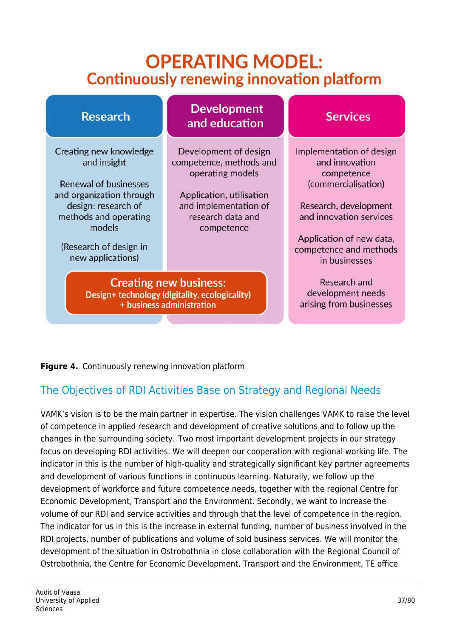# **OPERATING MODEL: Continuously renewing innovation platform**



#### **Figure 4.** Continuously renewing innovation platform

## The Objectives of RDI Activities Base on Strategy and Regional Needs

VAMK's vision is to be the main partner in expertise. The vision challenges VAMK to raise the level of competence in applied research and development of creative solutions and to follow up the changes in the surrounding society.  Two most important development projects in our strategy focus on developing RDI activities. We will deepen our cooperation with regional working life. The indicator in this is the number of high-quality and strategically significant key partner agreements and development of various functions in continuous learning. Naturally, we follow up the development of workforce and future competence needs, together with the regional Centre for Economic Development, Transport and the Environment. Secondly, we want to increase the volume of our RDI and service activities and through that the level of competence in the region. The indicator for us in this is the increase in external funding, number of business involved in the RDI projects, number of publications and volume of sold business services. We will monitor the development of the situation in Ostrobothnia in close collaboration with the Regional Council of Ostrobothnia, the Centre for Economic Development, Transport and the Environment, TE office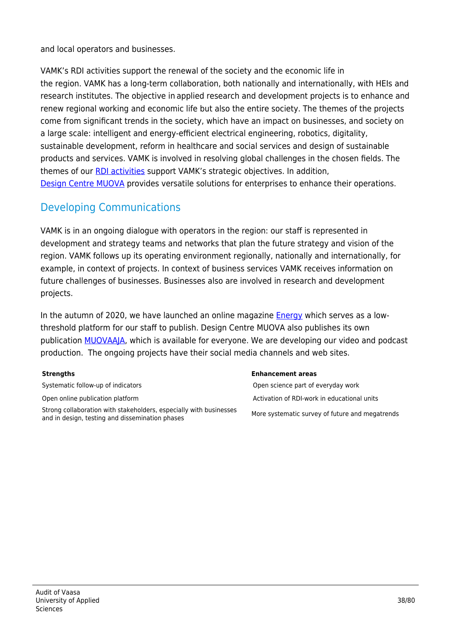and local operators and businesses.

VAMK's RDI activities support the renewal of the society and the economic life in the region. VAMK has a long-term collaboration, both nationally and internationally, with HEIs and research institutes. The objective in applied research and development projects is to enhance and renew regional working and economic life but also the entire society. The themes of the projects come from significant trends in the society, which have an impact on businesses, and society on a large scale: intelligent and energy-efficient electrical engineering, robotics, digitality, sustainable development, reform in healthcare and social services and design of sustainable products and services. VAMK is involved in resolving global challenges in the chosen fields. The themes of our [RDI activities](https://www.vamk.fi/en/tki/toiminta/) support VAMK's strategic objectives. In addition, [Design Centre MUOVA](http://www.muova.fi/en/muotoilu/) provides versatile solutions for enterprises to enhance their operations.

## Developing Communications

VAMK is in an ongoing dialogue with operators in the region: our staff is represented in development and strategy teams and networks that plan the future strategy and vision of the region. VAMK follows up its operating environment regionally, nationally and internationally, for example, in context of projects. In context of business services VAMK receives information on future challenges of businesses. Businesses also are involved in research and development projects.

In the autumn of 2020, we have launched an online magazine **[Energy](https://energiaa.vamk.fi/en/)** which serves as a lowthreshold platform for our staff to publish. Design Centre MUOVA also publishes its own publication [MUOVAAJA](http://www.muova.fi/en/yhteistyo/julkaisut/), which is available for everyone. We are developing our video and podcast production. The ongoing projects have their social media channels and web sites.

Strong collaboration with stakeholders, especially with businesses and in design, testing and dissemination phases More systematic survey of future and megatrends

#### **Strengths Enhancement areas**

Systematic follow-up of indicators **Open science part of everyday work** Open science part of everyday work Open online publication platform  $\blacksquare$  Activation of RDI-work in educational units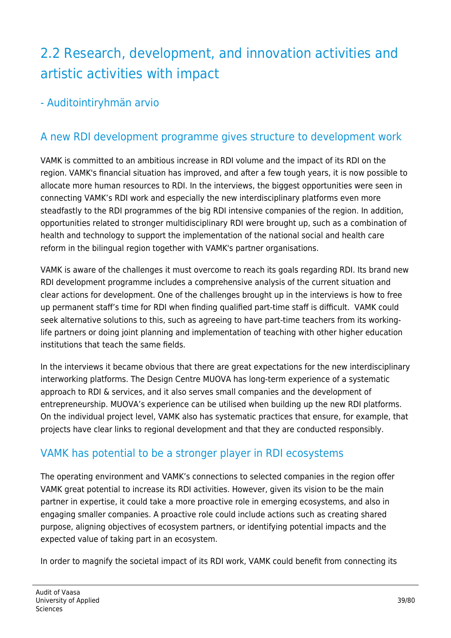# 2.2 Research, development, and innovation activities and artistic activities with impact

- Auditointiryhmän arvio

## A new RDI development programme gives structure to development work

VAMK is committed to an ambitious increase in RDI volume and the impact of its RDI on the region. VAMK's financial situation has improved, and after a few tough years, it is now possible to allocate more human resources to RDI. In the interviews, the biggest opportunities were seen in connecting VAMK's RDI work and especially the new interdisciplinary platforms even more steadfastly to the RDI programmes of the big RDI intensive companies of the region. In addition, opportunities related to stronger multidisciplinary RDI were brought up, such as a combination of health and technology to support the implementation of the national social and health care reform in the bilingual region together with VAMK's partner organisations.

VAMK is aware of the challenges it must overcome to reach its goals regarding RDI. Its brand new RDI development programme includes a comprehensive analysis of the current situation and clear actions for development. One of the challenges brought up in the interviews is how to free up permanent staff's time for RDI when finding qualified part-time staff is difficult. VAMK could seek alternative solutions to this, such as agreeing to have part-time teachers from its workinglife partners or doing joint planning and implementation of teaching with other higher education institutions that teach the same fields.

In the interviews it became obvious that there are great expectations for the new interdisciplinary interworking platforms. The Design Centre MUOVA has long-term experience of a systematic approach to RDI & services, and it also serves small companies and the development of entrepreneurship. MUOVA's experience can be utilised when building up the new RDI platforms. On the individual project level, VAMK also has systematic practices that ensure, for example, that projects have clear links to regional development and that they are conducted responsibly.

## VAMK has potential to be a stronger player in RDI ecosystems

The operating environment and VAMK's connections to selected companies in the region offer VAMK great potential to increase its RDI activities. However, given its vision to be the main partner in expertise, it could take a more proactive role in emerging ecosystems, and also in engaging smaller companies. A proactive role could include actions such as creating shared purpose, aligning objectives of ecosystem partners, or identifying potential impacts and the expected value of taking part in an ecosystem.

In order to magnify the societal impact of its RDI work, VAMK could benefit from connecting its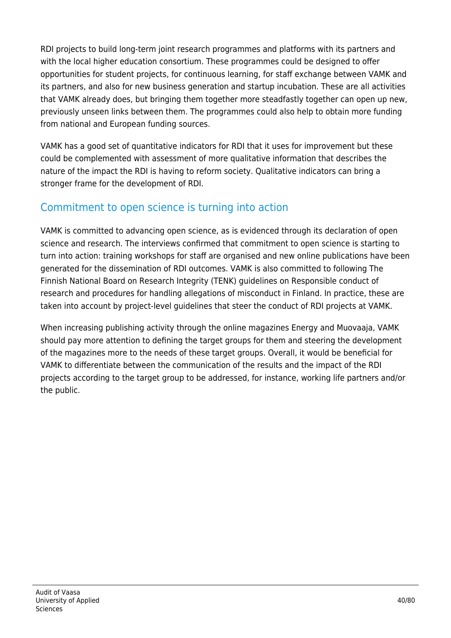RDI projects to build long-term joint research programmes and platforms with its partners and with the local higher education consortium. These programmes could be designed to offer opportunities for student projects, for continuous learning, for staff exchange between VAMK and its partners, and also for new business generation and startup incubation. These are all activities that VAMK already does, but bringing them together more steadfastly together can open up new, previously unseen links between them. The programmes could also help to obtain more funding from national and European funding sources.

VAMK has a good set of quantitative indicators for RDI that it uses for improvement but these could be complemented with assessment of more qualitative information that describes the nature of the impact the RDI is having to reform society. Qualitative indicators can bring a stronger frame for the development of RDI.

## Commitment to open science is turning into action

VAMK is committed to advancing open science, as is evidenced through its declaration of open science and research. The interviews confirmed that commitment to open science is starting to turn into action: training workshops for staff are organised and new online publications have been generated for the dissemination of RDI outcomes. VAMK is also committed to following The Finnish National Board on Research Integrity (TENK) guidelines on Responsible conduct of research and procedures for handling allegations of misconduct in Finland. In practice, these are taken into account by project-level guidelines that steer the conduct of RDI projects at VAMK.

When increasing publishing activity through the online magazines Energy and Muovaaja, VAMK should pay more attention to defining the target groups for them and steering the development of the magazines more to the needs of these target groups. Overall, it would be beneficial for VAMK to differentiate between the communication of the results and the impact of the RDI projects according to the target group to be addressed, for instance, working life partners and/or the public.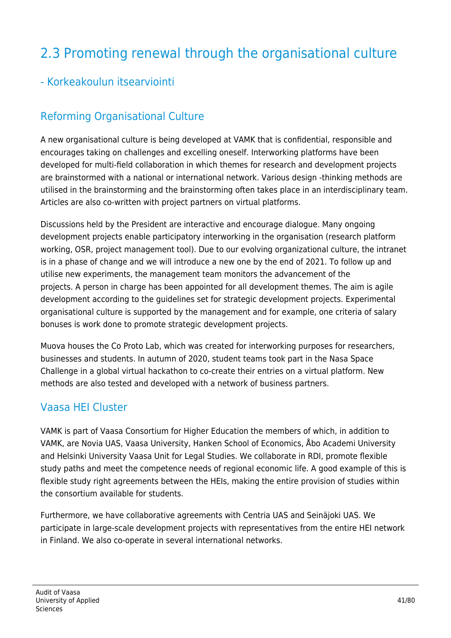# 2.3 Promoting renewal through the organisational culture

#### - Korkeakoulun itsearviointi

## Reforming Organisational Culture

A new organisational culture is being developed at VAMK that is confidential, responsible and encourages taking on challenges and excelling oneself. Interworking platforms have been developed for multi-field collaboration in which themes for research and development projects are brainstormed with a national or international network. Various design -thinking methods are utilised in the brainstorming and the brainstorming often takes place in an interdisciplinary team. Articles are also co-written with project partners on virtual platforms.

Discussions held by the President are interactive and encourage dialogue. Many ongoing development projects enable participatory interworking in the organisation (research platform working, OSR, project management tool). Due to our evolving organizational culture, the intranet is in a phase of change and we will introduce a new one by the end of 2021. To follow up and utilise new experiments, the management team monitors the advancement of the projects. A person in charge has been appointed for all development themes. The aim is agile development according to the guidelines set for strategic development projects. Experimental organisational culture is supported by the management and for example, one criteria of salary bonuses is work done to promote strategic development projects.

Muova houses the Co Proto Lab, which was created for interworking purposes for researchers, businesses and students. In autumn of 2020, student teams took part in the Nasa Space Challenge in a global virtual hackathon to co-create their entries on a virtual platform. New methods are also tested and developed with a network of business partners. 

#### Vaasa HEI Cluster

VAMK is part of Vaasa Consortium for Higher Education the members of which, in addition to VAMK, are Novia UAS, Vaasa University, Hanken School of Economics, Åbo Academi University and Helsinki University Vaasa Unit for Legal Studies. We collaborate in RDI, promote flexible study paths and meet the competence needs of regional economic life. A good example of this is flexible study right agreements between the HEIs, making the entire provision of studies within the consortium available for students.

Furthermore, we have collaborative agreements with Centria UAS and Seinäjoki UAS. We participate in large-scale development projects with representatives from the entire HEI network in Finland. We also co-operate in several international networks.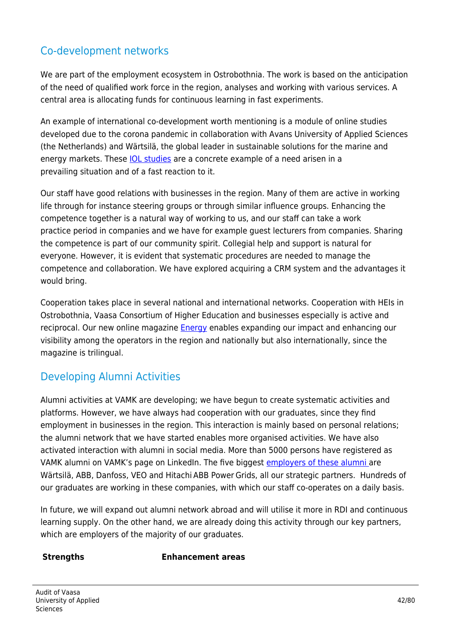#### Co-development networks

We are part of the employment ecosystem in Ostrobothnia. The work is based on the anticipation of the need of qualified work force in the region, analyses and working with various services. A central area is allocating funds for continuous learning in fast experiments.

An example of international co-development worth mentioning is a module of online studies developed due to the corona pandemic in collaboration with Avans University of Applied Sciences (the Netherlands) and Wärtsilä, the global leader in sustainable solutions for the marine and energy markets. These [IOL studies](https://www.vamk.fi/en/news/virtual_exchange_gathers_together_international_students_whose_common_goal_is_sustainable_business/) are a concrete example of a need arisen in a prevailing situation and of a fast reaction to it.

Our staff have good relations with businesses in the region. Many of them are active in working life through for instance steering groups or through similar influence groups. Enhancing the competence together is a natural way of working to us, and our staff can take a work practice period in companies and we have for example guest lecturers from companies. Sharing the competence is part of our community spirit. Collegial help and support is natural for everyone. However, it is evident that systematic procedures are needed to manage the competence and collaboration. We have explored acquiring a CRM system and the advantages it would bring.

Cooperation takes place in several national and international networks. Cooperation with HEIs in Ostrobothnia, Vaasa Consortium of Higher Education and businesses especially is active and reciprocal. Our new online magazine [Energy](https://energiaa.vamk.fi/) enables expanding our impact and enhancing our visibility among the operators in the region and nationally but also internationally, since the magazine is trilingual.

#### Developing Alumni Activities

Alumni activities at VAMK are developing; we have begun to create systematic activities and platforms. However, we have always had cooperation with our graduates, since they find employment in businesses in the region. This interaction is mainly based on personal relations; the alumni network that we have started enables more organised activities. We have also activated interaction with alumni in social media. More than 5000 persons have registered as VAMK alumni on VAMK's page on LinkedIn. The five biggest [employers of these alumni](https://www.linkedin.com/feed/update/urn:li:activity:6727591092797145088/) are Wärtsilä, ABB, Danfoss, VEO and Hitachi ABB Power Grids, all our strategic partners. Hundreds of our graduates are working in these companies, with which our staff co-operates on a daily basis.

In future, we will expand out alumni network abroad and will utilise it more in RDI and continuous learning supply. On the other hand, we are already doing this activity through our key partners, which are employers of the majority of our graduates. 

#### **Strengths Enhancement areas**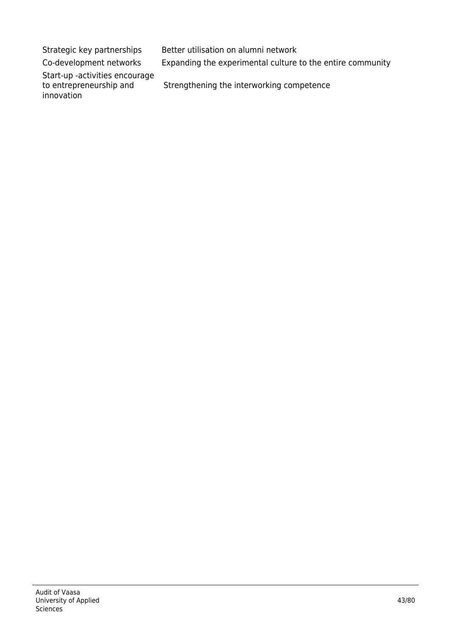Strategic key partnerships Better utilisation on alumni network

Co-development networks Expanding the experimental culture to the entire community

Start-up -activities encourage to entrepreneurship and

innovation

Strengthening the interworking competence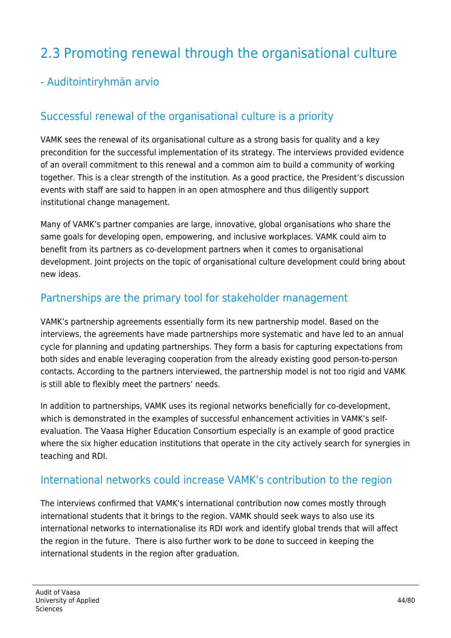# 2.3 Promoting renewal through the organisational culture

#### - Auditointiryhmän arvio

#### Successful renewal of the organisational culture is a priority

VAMK sees the renewal of its organisational culture as a strong basis for quality and a key precondition for the successful implementation of its strategy. The interviews provided evidence of an overall commitment to this renewal and a common aim to build a community of working together. This is a clear strength of the institution. As a good practice, the President's discussion events with staff are said to happen in an open atmosphere and thus diligently support institutional change management.

Many of VAMK's partner companies are large, innovative, global organisations who share the same goals for developing open, empowering, and inclusive workplaces. VAMK could aim to benefit from its partners as co-development partners when it comes to organisational development. Joint projects on the topic of organisational culture development could bring about new ideas.

#### Partnerships are the primary tool for stakeholder management

VAMK's partnership agreements essentially form its new partnership model. Based on the interviews, the agreements have made partnerships more systematic and have led to an annual cycle for planning and updating partnerships. They form a basis for capturing expectations from both sides and enable leveraging cooperation from the already existing good person-to-person contacts. According to the partners interviewed, the partnership model is not too rigid and VAMK is still able to flexibly meet the partners' needs.

In addition to partnerships, VAMK uses its regional networks beneficially for co-development, which is demonstrated in the examples of successful enhancement activities in VAMK's selfevaluation. The Vaasa Higher Education Consortium especially is an example of good practice where the six higher education institutions that operate in the city actively search for synergies in teaching and RDI.

#### International networks could increase VAMK's contribution to the region

The interviews confirmed that VAMK's international contribution now comes mostly through international students that it brings to the region. VAMK should seek ways to also use its international networks to internationalise its RDI work and identify global trends that will affect the region in the future. There is also further work to be done to succeed in keeping the international students in the region after graduation.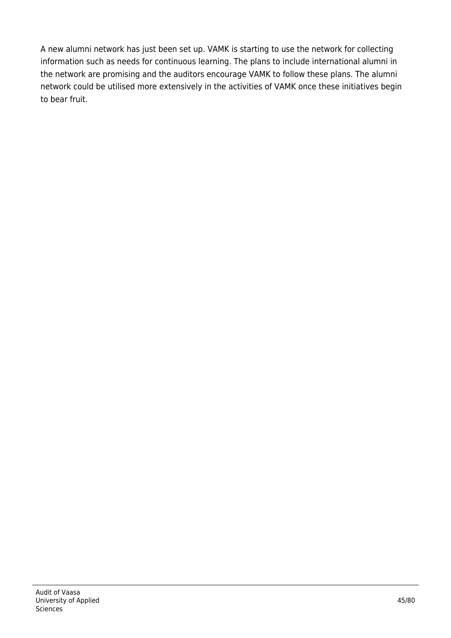A new alumni network has just been set up. VAMK is starting to use the network for collecting information such as needs for continuous learning. The plans to include international alumni in the network are promising and the auditors encourage VAMK to follow these plans. The alumni network could be utilised more extensively in the activities of VAMK once these initiatives begin to bear fruit.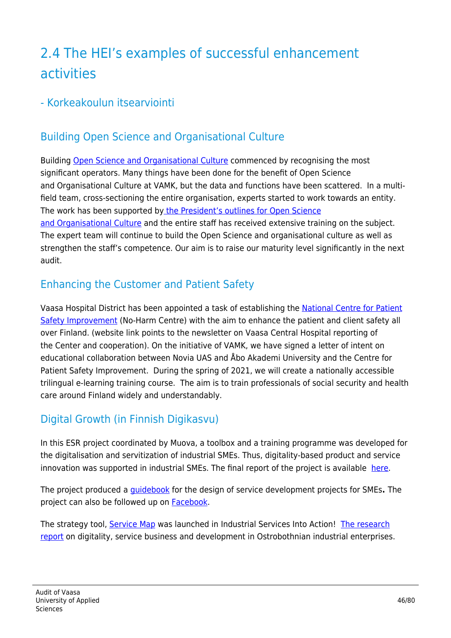# 2.4 The HEI's examples of successful enhancement activities

#### - Korkeakoulun itsearviointi

## Building Open Science and Organisational Culture

Building [Open Science and Organisational Culture](https://www.vamk.fi/en/tki/toiminta/avointiedejatutkimus/) commenced by recognising the most significant operators. Many things have been done for the benefit of Open Science and Organisational Culture at VAMK, but the data and functions have been scattered. In a multifield team, cross-sectioning the entire organisation, experts started to work towards an entity. The work has been supported b[y the President's outlines for Open Science](https://www.vamk.fi/en/tki/toiminta/avointiedejatutkimus/linjaukset/attlausuma/) [and Organisational Culture](https://www.vamk.fi/en/tki/toiminta/avointiedejatutkimus/linjaukset/attlausuma/) and the entire staff has received extensive training on the subject. The expert team will continue to build the Open Science and organisational culture as well as strengthen the staff's competence. Our aim is to raise our maturity level significantly in the next audit.

#### Enhancing the Customer and Patient Safety

Vaasa Hospital District has been appointed a task of establishing the [National Centre for Patient](https://www.vaasankeskussairaala.fi/potilas--ja-asiakasturvallisuuden-kehittamiskeskus/tietoa-meista/) [Safety Improvement](https://www.vaasankeskussairaala.fi/potilas--ja-asiakasturvallisuuden-kehittamiskeskus/tietoa-meista/) (No-Harm Centre) with the aim to enhance the patient and client safety all over Finland. (website link points to the newsletter on Vaasa Central Hospital reporting of the Center and cooperation). On the initiative of VAMK, we have signed a letter of intent on educational collaboration between Novia UAS and Åbo Akademi University and the Centre for Patient Safety Improvement. During the spring of 2021, we will create a nationally accessible trilingual e-learning training course. The aim is to train professionals of social security and health care around Finland widely and understandably.

## Digital Growth (in Finnish Digikasvu)

In this ESR project coordinated by Muova, a toolbox and a training programme was developed for the digitalisation and servitization of industrial SMEs. Thus, digitality-based product and service innovation was supported in industrial SMEs. The final report of the project is available [here.](http://www.muova.fi/fi/yhteistyo/projektit/digikasvu-2017-2020/loppuraportti_digikasvu_final.pdf)

The project produced a [guidebook](http://www.muova.fi/fi/yhteistyo/projektit/digikasvu-2017-2020/digikasvu-koulutusohjelma_fi) for the design of service development projects for SMEs**.** The project can also be followed up on [Facebook](https://www.facebook.com/digikasvu/).

The strategy tool, [Service Map](https://www.univaasa.fi/fi/rekry/ajankohtaista/coprotolab_virtuaaliymparisto_teollisten_palvelujen_innovointiin/) was launched in Industrial Services Into Action! [The research](http://www.muova.fi/fi/yhteistyo/projektit/digikasvu-2017-2020/teolliset_palvelut_pohjanmaalla_muova_design_research_1_2018.pdf) [report](http://www.muova.fi/fi/yhteistyo/projektit/digikasvu-2017-2020/teolliset_palvelut_pohjanmaalla_muova_design_research_1_2018.pdf) on digitality, service business and development in Ostrobothnian industrial enterprises.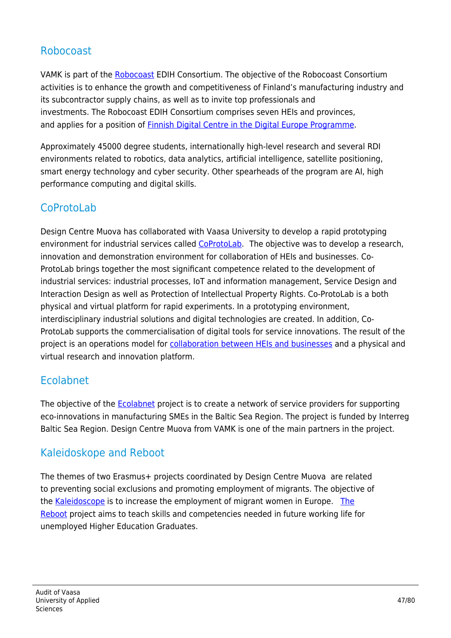#### Robocoast

VAMK is part of the [Robocoast](https://robocoast.eu/) EDIH Consortium. The objective of the Robocoast Consortium activities is to enhance the growth and competitiveness of Finland's manufacturing industry and its subcontractor supply chains, as well as to invite top professionals and investments. The Robocoast EDIH Consortium comprises seven HEIs and provinces, and applies for a position of [Finnish Digital Centre in the Digital Europe Programme.](https://www.vamk.fi/fi/news/robocoast_hakee_suomen_digitaaliseksi_keskittymaksi_digitaalinen_eurooppa-ohjelmaan/)

Approximately 45000 degree students, internationally high-level research and several RDI environments related to robotics, data analytics, artificial intelligence, satellite positioning, smart energy technology and cyber security. Other spearheads of the program are AI, high performance computing and digital skills.

## **CoProtoLab**

Design Centre Muova has collaborated with Vaasa University to develop a rapid prototyping environment for industrial services called [CoProtoLab](https://coprotolab.fi/).The objective was to develop a research, innovation and demonstration environment for collaboration of HEIs and businesses. Co-ProtoLab brings together the most significant competence related to the development of industrial services: industrial processes, IoT and information management, Service Design and Interaction Design as well as Protection of Intellectual Property Rights. Co-ProtoLab is a both physical and virtual platform for rapid experiments. In a prototyping environment, interdisciplinary industrial solutions and digital technologies are created. In addition, Co-ProtoLab supports the commercialisation of digital tools for service innovations. The result of the project is an operations model for [collaboration between HEIs and businesses](https://www.youtube.com/watch?v=_IvmbclW_VM) and a physical and virtual research and innovation platform.

#### Ecolabnet

The objective of the **Ecolabnet project is to create a network of service providers for supporting** eco-innovations in manufacturing SMEs in the Baltic Sea Region. The project is funded by Interreg Baltic Sea Region. Design Centre Muova from VAMK is one of the main partners in the project.

#### Kaleidoskope and Reboot

The themes of two Erasmus+ projects coordinated by Design Centre Muova are related to preventing social exclusions and promoting employment of migrants. The objective of the [Kaleidoscope](https://www.kaleidoscopeproject.eu/) is to increase the employment of migrant women in Europe. [The](https://www.facebook.com/Reboot-Project-311906806088091/) [Reboot](https://www.facebook.com/Reboot-Project-311906806088091/) project aims to teach skills and competencies needed in future working life for unemployed Higher Education Graduates.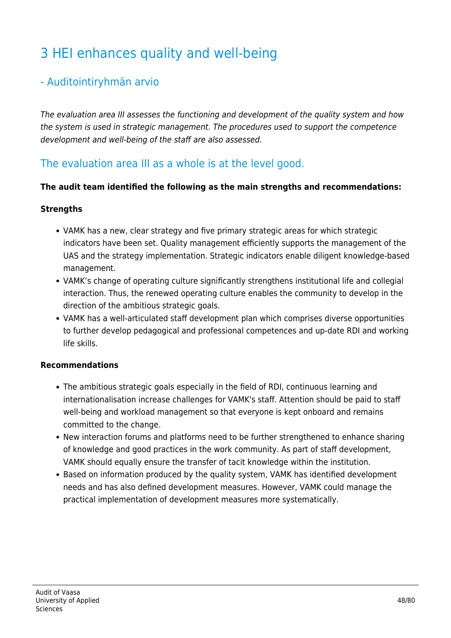# 3 HEI enhances quality and well-being

#### - Auditointiryhmän arvio

The evaluation area III assesses the functioning and development of the quality system and how the system is used in strategic management. The procedures used to support the competence development and well-being of the staff are also assessed.

#### The evaluation area III as a whole is at the level good.

#### **The audit team identified the following as the main strengths and recommendations:**

#### **Strengths**

- VAMK has a new, clear strategy and five primary strategic areas for which strategic indicators have been set. Quality management efficiently supports the management of the UAS and the strategy implementation. Strategic indicators enable diligent knowledge-based management.
- VAMK's change of operating culture significantly strengthens institutional life and collegial interaction. Thus, the renewed operating culture enables the community to develop in the direction of the ambitious strategic goals.
- VAMK has a well-articulated staff development plan which comprises diverse opportunities to further develop pedagogical and professional competences and up-date RDI and working life skills.

#### **Recommendations**

- The ambitious strategic goals especially in the field of RDI, continuous learning and internationalisation increase challenges for VAMK's staff. Attention should be paid to staff well-being and workload management so that everyone is kept onboard and remains committed to the change.
- New interaction forums and platforms need to be further strengthened to enhance sharing of knowledge and good practices in the work community. As part of staff development, VAMK should equally ensure the transfer of tacit knowledge within the institution.
- Based on information produced by the quality system, VAMK has identified development needs and has also defined development measures. However, VAMK could manage the practical implementation of development measures more systematically.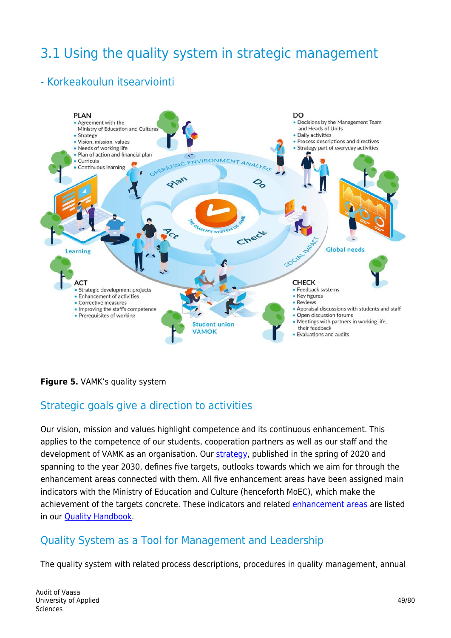# 3.1 Using the quality system in strategic management

#### - Korkeakoulun itsearviointi



#### **Figure 5.** VAMK's quality system

#### Strategic goals give a direction to activities

Our vision, mission and values highlight competence and its continuous enhancement. This applies to the competence of our students, cooperation partners as well as our staff and the development of VAMK as an organisation. Our [strategy,](https://www.vamk.fi/en/meidan_vamk/vamk-002/strategia/) published in the spring of 2020 and spanning to the year 2030, defines five targets, outlooks towards which we aim for through the enhancement areas connected with them. All five enhancement areas have been assigned main indicators with the Ministry of Education and Culture (henceforth MoEC), which make the achievement of the targets concrete. These indicators and related [enhancement areas](https://www.vamk.fi/en/meidan_vamk/vamk-002/laatu/laatukasikirja/vamk_quality_handbook-2020-accessibility.pdf#page=11) are listed in our **Quality Handbook**.

#### Quality System as a Tool for Management and Leadership

The quality system with related process descriptions, procedures in quality management, annual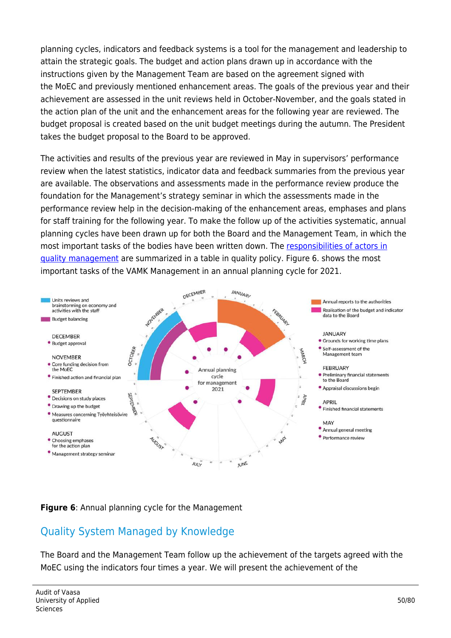planning cycles, indicators and feedback systems is a tool for the management and leadership to attain the strategic goals. The budget and action plans drawn up in accordance with the instructions given by the Management Team are based on the agreement signed with the MoEC and previously mentioned enhancement areas. The goals of the previous year and their achievement are assessed in the unit reviews held in October-November, and the goals stated in the action plan of the unit and the enhancement areas for the following year are reviewed. The budget proposal is created based on the unit budget meetings during the autumn. The President takes the budget proposal to the Board to be approved.

The activities and results of the previous year are reviewed in May in supervisors' performance review when the latest statistics, indicator data and feedback summaries from the previous year are available. The observations and assessments made in the performance review produce the foundation for the Management's strategy seminar in which the assessments made in the performance review help in the decision-making of the enhancement areas, emphases and plans for staff training for the following year. To make the follow up of the activities systematic, annual planning cycles have been drawn up for both the Board and the Management Team, in which the most important tasks of the bodies have been written down. The [responsibilities of actors in](https://www.vamk.fi/en/meidan_vamk/vamk-002/laatu/laatukasikirja/vamk_quality_handbook-2020-accessibility.pdf#page=8) [quality management](https://www.vamk.fi/en/meidan_vamk/vamk-002/laatu/laatukasikirja/vamk_quality_handbook-2020-accessibility.pdf#page=8) are summarized in a table in quality policy. Figure 6. shows the most important tasks of the VAMK Management in an annual planning cycle for 2021.



#### **Figure 6**: Annual planning cycle for the Management

#### Quality System Managed by Knowledge

The Board and the Management Team follow up the achievement of the targets agreed with the MoEC using the indicators four times a year. We will present the achievement of the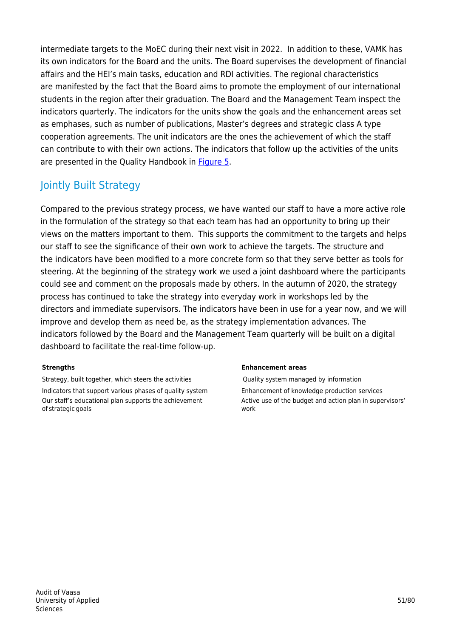intermediate targets to the MoEC during their next visit in 2022. In addition to these, VAMK has its own indicators for the Board and the units. The Board supervises the development of financial affairs and the HEI's main tasks, education and RDI activities. The regional characteristics are manifested by the fact that the Board aims to promote the employment of our international students in the region after their graduation. The Board and the Management Team inspect the indicators quarterly. The indicators for the units show the goals and the enhancement areas set as emphases, such as number of publications, Master's degrees and strategic class A type cooperation agreements. The unit indicators are the ones the achievement of which the staff can contribute to with their own actions. The indicators that follow up the activities of the units are presented in the Quality Handbook in [Figure 5](https://www.vamk.fi/en/meidan_vamk/vamk-002/laatu/laatukasikirja/vamk_quality_handbook-2020-accessibility.pdf#page=14).

## Jointly Built Strategy

Compared to the previous strategy process, we have wanted our staff to have a more active role in the formulation of the strategy so that each team has had an opportunity to bring up their views on the matters important to them. This supports the commitment to the targets and helps our staff to see the significance of their own work to achieve the targets. The structure and the indicators have been modified to a more concrete form so that they serve better as tools for steering. At the beginning of the strategy work we used a joint dashboard where the participants could see and comment on the proposals made by others. In the autumn of 2020, the strategy process has continued to take the strategy into everyday work in workshops led by the directors and immediate supervisors. The indicators have been in use for a year now, and we will improve and develop them as need be, as the strategy implementation advances. The indicators followed by the Board and the Management Team quarterly will be built on a digital dashboard to facilitate the real-time follow-up.

Strategy, built together, which steers the activities **Quality system managed by information** Indicators that support various phases of quality system Enhancement of knowledge production services Our staff's educational plan supports the achievement of strategic goals

#### **Strengths Enhancement areas**

Active use of the budget and action plan in supervisors' work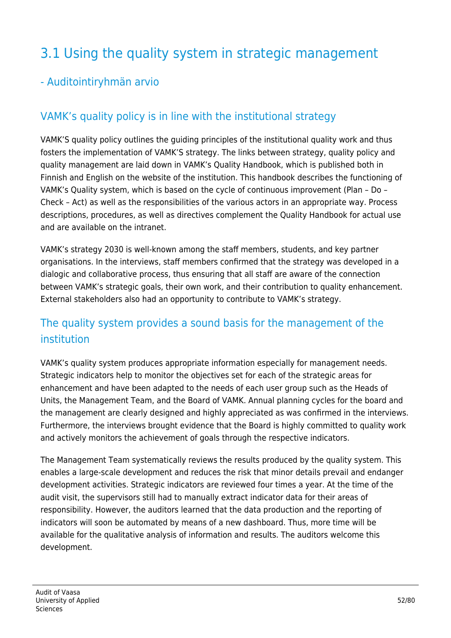# 3.1 Using the quality system in strategic management

#### - Auditointiryhmän arvio

#### VAMK's quality policy is in line with the institutional strategy

VAMK'S quality policy outlines the guiding principles of the institutional quality work and thus fosters the implementation of VAMK'S strategy. The links between strategy, quality policy and quality management are laid down in VAMK's Quality Handbook, which is published both in Finnish and English on the website of the institution. This handbook describes the functioning of VAMK's Quality system, which is based on the cycle of continuous improvement (Plan – Do – Check – Act) as well as the responsibilities of the various actors in an appropriate way. Process descriptions, procedures, as well as directives complement the Quality Handbook for actual use and are available on the intranet.

VAMK's strategy 2030 is well-known among the staff members, students, and key partner organisations. In the interviews, staff members confirmed that the strategy was developed in a dialogic and collaborative process, thus ensuring that all staff are aware of the connection between VAMK's strategic goals, their own work, and their contribution to quality enhancement. External stakeholders also had an opportunity to contribute to VAMK's strategy.

## The quality system provides a sound basis for the management of the institution

VAMK's quality system produces appropriate information especially for management needs. Strategic indicators help to monitor the objectives set for each of the strategic areas for enhancement and have been adapted to the needs of each user group such as the Heads of Units, the Management Team, and the Board of VAMK. Annual planning cycles for the board and the management are clearly designed and highly appreciated as was confirmed in the interviews. Furthermore, the interviews brought evidence that the Board is highly committed to quality work and actively monitors the achievement of goals through the respective indicators.

The Management Team systematically reviews the results produced by the quality system. This enables a large-scale development and reduces the risk that minor details prevail and endanger development activities. Strategic indicators are reviewed four times a year. At the time of the audit visit, the supervisors still had to manually extract indicator data for their areas of responsibility. However, the auditors learned that the data production and the reporting of indicators will soon be automated by means of a new dashboard. Thus, more time will be available for the qualitative analysis of information and results. The auditors welcome this development.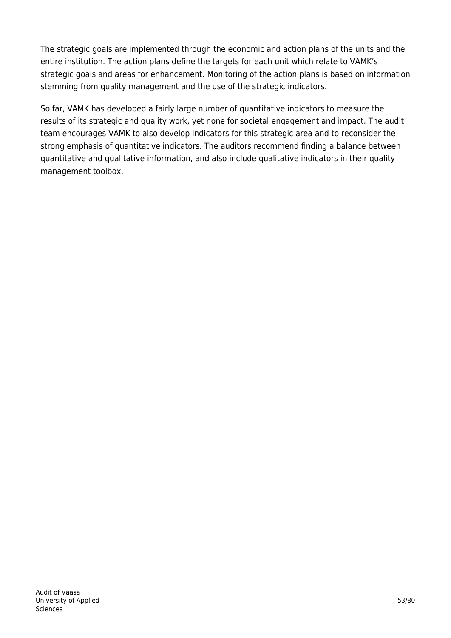The strategic goals are implemented through the economic and action plans of the units and the entire institution. The action plans define the targets for each unit which relate to VAMK's strategic goals and areas for enhancement. Monitoring of the action plans is based on information stemming from quality management and the use of the strategic indicators.

So far, VAMK has developed a fairly large number of quantitative indicators to measure the results of its strategic and quality work, yet none for societal engagement and impact. The audit team encourages VAMK to also develop indicators for this strategic area and to reconsider the strong emphasis of quantitative indicators. The auditors recommend finding a balance between quantitative and qualitative information, and also include qualitative indicators in their quality management toolbox.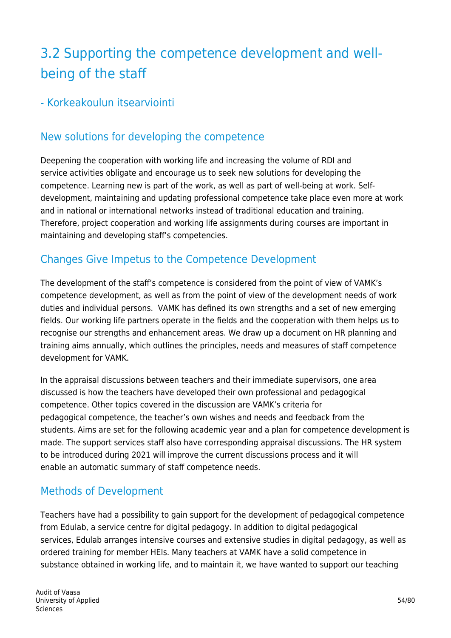# 3.2 Supporting the competence development and wellbeing of the staff

#### - Korkeakoulun itsearviointi

#### New solutions for developing the competence

Deepening the cooperation with working life and increasing the volume of RDI and service activities obligate and encourage us to seek new solutions for developing the competence. Learning new is part of the work, as well as part of well-being at work. Selfdevelopment, maintaining and updating professional competence take place even more at work and in national or international networks instead of traditional education and training. Therefore, project cooperation and working life assignments during courses are important in maintaining and developing staff's competencies.

#### Changes Give Impetus to the Competence Development

The development of the staff's competence is considered from the point of view of VAMK's competence development, as well as from the point of view of the development needs of work duties and individual persons. VAMK has defined its own strengths and a set of new emerging fields. Our working life partners operate in the fields and the cooperation with them helps us to recognise our strengths and enhancement areas. We draw up a document on HR planning and training aims annually, which outlines the principles, needs and measures of staff competence development for VAMK.

In the appraisal discussions between teachers and their immediate supervisors, one area discussed is how the teachers have developed their own professional and pedagogical competence. Other topics covered in the discussion are VAMK's criteria for pedagogical competence, the teacher's own wishes and needs and feedback from the students. Aims are set for the following academic year and a plan for competence development is made. The support services staff also have corresponding appraisal discussions. The HR system to be introduced during 2021 will improve the current discussions process and it will enable an automatic summary of staff competence needs.

#### Methods of Development

Teachers have had a possibility to gain support for the development of pedagogical competence from Edulab, a service centre for digital pedagogy. In addition to digital pedagogical services, Edulab arranges intensive courses and extensive studies in digital pedagogy, as well as ordered training for member HEIs. Many teachers at VAMK have a solid competence in substance obtained in working life, and to maintain it, we have wanted to support our teaching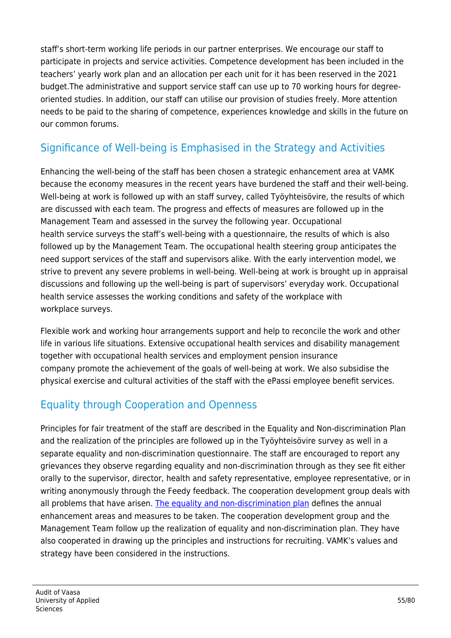staff's short-term working life periods in our partner enterprises. We encourage our staff to participate in projects and service activities. Competence development has been included in the teachers' yearly work plan and an allocation per each unit for it has been reserved in the 2021 budget.The administrative and support service staff can use up to 70 working hours for degreeoriented studies. In addition, our staff can utilise our provision of studies freely. More attention needs to be paid to the sharing of competence, experiences knowledge and skills in the future on our common forums.

## Significance of Well-being is Emphasised in the Strategy and Activities

Enhancing the well-being of the staff has been chosen a strategic enhancement area at VAMK because the economy measures in the recent years have burdened the staff and their well-being. Well-being at work is followed up with an staff survey, called Työyhteisövire, the results of which are discussed with each team. The progress and effects of measures are followed up in the Management Team and assessed in the survey the following year. Occupational health service surveys the staff's well-being with a questionnaire, the results of which is also followed up by the Management Team. The occupational health steering group anticipates the need support services of the staff and supervisors alike. With the early intervention model, we strive to prevent any severe problems in well-being. Well-being at work is brought up in appraisal discussions and following up the well-being is part of supervisors' everyday work. Occupational health service assesses the working conditions and safety of the workplace with workplace surveys.

Flexible work and working hour arrangements support and help to reconcile the work and other life in various life situations. Extensive occupational health services and disability management together with occupational health services and employment pension insurance company promote the achievement of the goals of well-being at work. We also subsidise the physical exercise and cultural activities of the staff with the ePassi employee benefit services.

## Equality through Cooperation and Openness

Principles for fair treatment of the staff are described in the Equality and Non-discrimination Plan and the realization of the principles are followed up in the Työyhteisövire survey as well in a separate equality and non-discrimination questionnaire. The staff are encouraged to report any grievances they observe regarding equality and non-discrimination through as they see fit either orally to the supervisor, director, health and safety representative, employee representative, or in writing anonymously through the Feedy feedback. The cooperation development group deals with all problems that have arisen. [The equality and non-discrimination plan](https://www.vamk.fi/en/meidan_vamk/vamk-003/turvallisuus/suunnitelmat/yhdenvertaisuus/) defines the annual enhancement areas and measures to be taken. The cooperation development group and the Management Team follow up the realization of equality and non-discrimination plan. They have also cooperated in drawing up the principles and instructions for recruiting. VAMK's values and strategy have been considered in the instructions.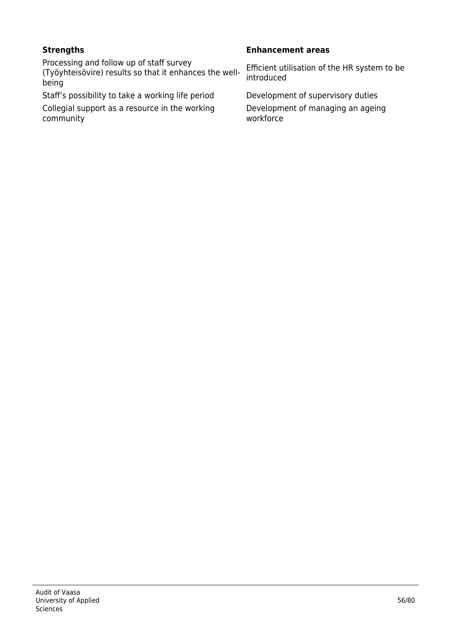Processing and follow up of staff survey (Työyhteisövire) results so that it enhances the wellbeing

Staff's possibility to take a working life period Development of supervisory duties

Collegial support as a resource in the working community

#### **Strengths Enhancement areas**

Efficient utilisation of the HR system to be introduced

Development of managing an ageing workforce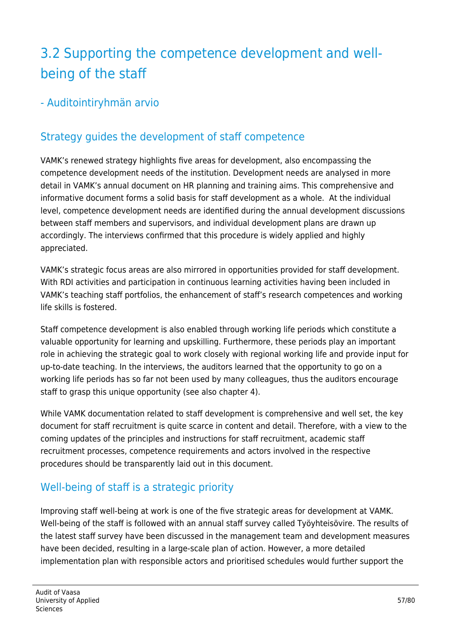# 3.2 Supporting the competence development and wellbeing of the staff

- Auditointiryhmän arvio

# Strategy guides the development of staff competence

VAMK's renewed strategy highlights five areas for development, also encompassing the competence development needs of the institution. Development needs are analysed in more detail in VAMK's annual document on HR planning and training aims. This comprehensive and informative document forms a solid basis for staff development as a whole. At the individual level, competence development needs are identified during the annual development discussions between staff members and supervisors, and individual development plans are drawn up accordingly. The interviews confirmed that this procedure is widely applied and highly appreciated.

VAMK's strategic focus areas are also mirrored in opportunities provided for staff development. With RDI activities and participation in continuous learning activities having been included in VAMK's teaching staff portfolios, the enhancement of staff's research competences and working life skills is fostered.

Staff competence development is also enabled through working life periods which constitute a valuable opportunity for learning and upskilling. Furthermore, these periods play an important role in achieving the strategic goal to work closely with regional working life and provide input for up-to-date teaching. In the interviews, the auditors learned that the opportunity to go on a working life periods has so far not been used by many colleagues, thus the auditors encourage staff to grasp this unique opportunity (see also chapter 4).

While VAMK documentation related to staff development is comprehensive and well set, the key document for staff recruitment is quite scarce in content and detail. Therefore, with a view to the coming updates of the principles and instructions for staff recruitment, academic staff recruitment processes, competence requirements and actors involved in the respective procedures should be transparently laid out in this document.

## Well-being of staff is a strategic priority

Improving staff well-being at work is one of the five strategic areas for development at VAMK. Well-being of the staff is followed with an annual staff survey called Työyhteisövire. The results of the latest staff survey have been discussed in the management team and development measures have been decided, resulting in a large-scale plan of action. However, a more detailed implementation plan with responsible actors and prioritised schedules would further support the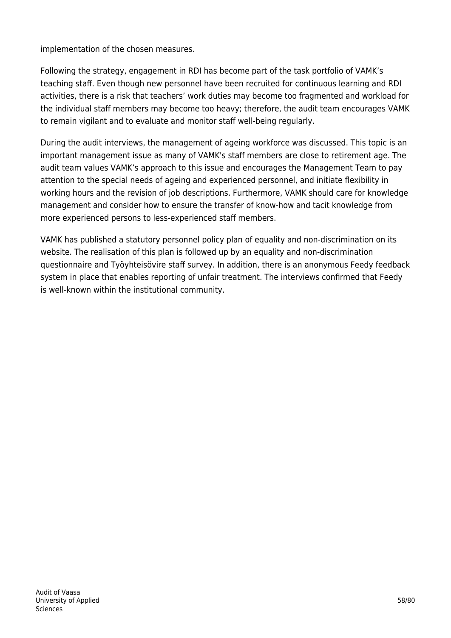implementation of the chosen measures.

Following the strategy, engagement in RDI has become part of the task portfolio of VAMK's teaching staff. Even though new personnel have been recruited for continuous learning and RDI activities, there is a risk that teachers' work duties may become too fragmented and workload for the individual staff members may become too heavy; therefore, the audit team encourages VAMK to remain vigilant and to evaluate and monitor staff well-being regularly.

During the audit interviews, the management of ageing workforce was discussed. This topic is an important management issue as many of VAMK's staff members are close to retirement age. The audit team values VAMK's approach to this issue and encourages the Management Team to pay attention to the special needs of ageing and experienced personnel, and initiate flexibility in working hours and the revision of job descriptions. Furthermore, VAMK should care for knowledge management and consider how to ensure the transfer of know-how and tacit knowledge from more experienced persons to less-experienced staff members.

VAMK has published a statutory personnel policy plan of equality and non-discrimination on its website. The realisation of this plan is followed up by an equality and non-discrimination questionnaire and Työyhteisövire staff survey. In addition, there is an anonymous Feedy feedback system in place that enables reporting of unfair treatment. The interviews confirmed that Feedy is well-known within the institutional community.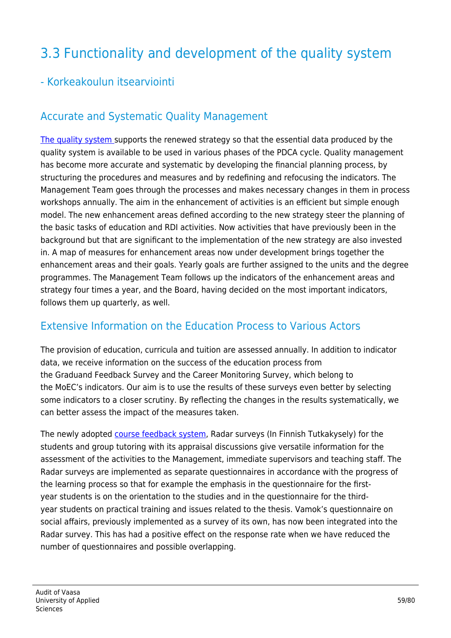# 3.3 Functionality and development of the quality system

#### - Korkeakoulun itsearviointi

#### Accurate and Systematic Quality Management

[The quality system s](https://www.vamk.fi/en/meidan_vamk/vamk-002/laatu/laatukasikirja/vamk_quality_handbook-2020-accessibility.pdf#page=7)upports the renewed strategy so that the essential data produced by the quality system is available to be used in various phases of the PDCA cycle. Quality management has become more accurate and systematic by developing the financial planning process, by structuring the procedures and measures and by redefining and refocusing the indicators. The Management Team goes through the processes and makes necessary changes in them in process workshops annually. The aim in the enhancement of activities is an efficient but simple enough model. The new enhancement areas defined according to the new strategy steer the planning of the basic tasks of education and RDI activities. Now activities that have previously been in the background but that are significant to the implementation of the new strategy are also invested in. A map of measures for enhancement areas now under development brings together the enhancement areas and their goals. Yearly goals are further assigned to the units and the degree programmes. The Management Team follows up the indicators of the enhancement areas and strategy four times a year, and the Board, having decided on the most important indicators, follows them up quarterly, as well.

#### Extensive Information on the Education Process to Various Actors

The provision of education, curricula and tuition are assessed annually. In addition to indicator data, we receive information on the success of the education process from the Graduand Feedback Survey and the Career Monitoring Survey, which belong to the MoEC's indicators. Our aim is to use the results of these surveys even better by selecting some indicators to a closer scrutiny. By reflecting the changes in the results systematically, we can better assess the impact of the measures taken.

The newly adopted [course feedback system,](https://www.vamk.fi/en/opiskelijoille/opinto-opas/opiskeluvamkissa/palautteet/) Radar surveys (In Finnish Tutkakysely) for the students and group tutoring with its appraisal discussions give versatile information for the assessment of the activities to the Management, immediate supervisors and teaching staff. The Radar surveys are implemented as separate questionnaires in accordance with the progress of the learning process so that for example the emphasis in the questionnaire for the firstyear students is on the orientation to the studies and in the questionnaire for the thirdyear students on practical training and issues related to the thesis. Vamok's questionnaire on social affairs, previously implemented as a survey of its own, has now been integrated into the Radar survey. This has had a positive effect on the response rate when we have reduced the number of questionnaires and possible overlapping.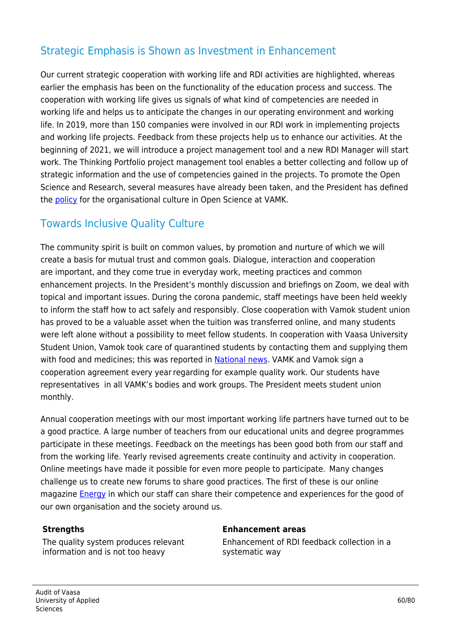#### Strategic Emphasis is Shown as Investment in Enhancement

Our current strategic cooperation with working life and RDI activities are highlighted, whereas earlier the emphasis has been on the functionality of the education process and success. The cooperation with working life gives us signals of what kind of competencies are needed in working life and helps us to anticipate the changes in our operating environment and working life. In 2019, more than 150 companies were involved in our RDI work in implementing projects and working life projects. Feedback from these projects help us to enhance our activities. At the beginning of 2021, we will introduce a project management tool and a new RDI Manager will start work. The Thinking Portfolio project management tool enables a better collecting and follow up of strategic information and the use of competencies gained in the projects. To promote the Open Science and Research, several measures have already been taken, and the President has defined the [policy](https://www.vamk.fi/en/tki/toiminta/avointiedejatutkimus/linjaukset/attlausuma/) for the organisational culture in Open Science at VAMK.

#### Towards Inclusive Quality Culture

The community spirit is built on common values, by promotion and nurture of which we will create a basis for mutual trust and common goals. Dialogue, interaction and cooperation are important, and they come true in everyday work, meeting practices and common enhancement projects. In the President's monthly discussion and briefings on Zoom, we deal with topical and important issues. During the corona pandemic, staff meetings have been held weekly to inform the staff how to act safely and responsibly. Close cooperation with Vamok student union has proved to be a valuable asset when the tuition was transferred online, and many students were left alone without a possibility to meet fellow students. In cooperation with Vaasa University Student Union, Vamok took care of quarantined students by contacting them and supplying them with food and medicines; this was reported in [National news](https://yle.fi/uutiset/3-11592888). VAMK and Vamok sign a cooperation agreement every year regarding for example quality work. Our students have representatives in all VAMK's bodies and work groups. The President meets student union monthly.

Annual cooperation meetings with our most important working life partners have turned out to be a good practice. A large number of teachers from our educational units and degree programmes participate in these meetings. Feedback on the meetings has been good both from our staff and from the working life. Yearly revised agreements create continuity and activity in cooperation. Online meetings have made it possible for even more people to participate.  Many changes challenge us to create new forums to share good practices. The first of these is our online magazine [Energy](https://energiaa.vamk.fi/en/) in which our staff can share their competence and experiences for the good of our own organisation and the society around us. 

The quality system produces relevant information and is not too heavy

#### **Strengths Enhancement areas**

Enhancement of RDI feedback collection in a systematic way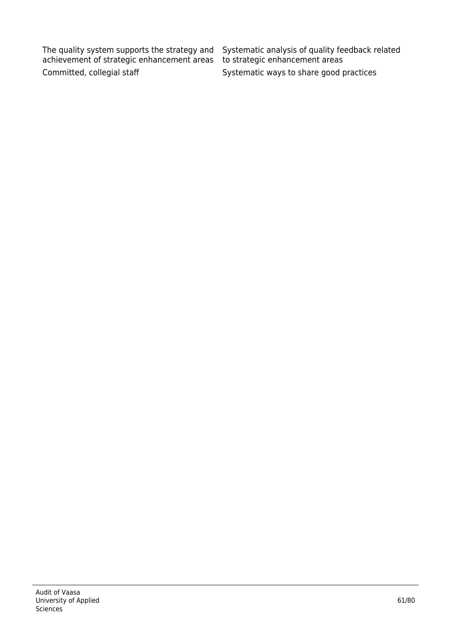The quality system supports the strategy and achievement of strategic enhancement areas Committed, collegial staff Systematic ways to share good practices

Systematic analysis of quality feedback related to strategic enhancement areas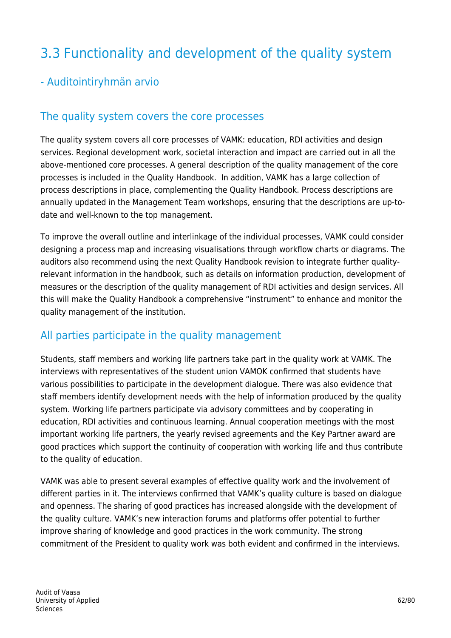# 3.3 Functionality and development of the quality system

#### - Auditointiryhmän arvio

#### The quality system covers the core processes

The quality system covers all core processes of VAMK: education, RDI activities and design services. Regional development work, societal interaction and impact are carried out in all the above-mentioned core processes. A general description of the quality management of the core processes is included in the Quality Handbook. In addition, VAMK has a large collection of process descriptions in place, complementing the Quality Handbook. Process descriptions are annually updated in the Management Team workshops, ensuring that the descriptions are up-todate and well-known to the top management.

To improve the overall outline and interlinkage of the individual processes, VAMK could consider designing a process map and increasing visualisations through workflow charts or diagrams. The auditors also recommend using the next Quality Handbook revision to integrate further qualityrelevant information in the handbook, such as details on information production, development of measures or the description of the quality management of RDI activities and design services. All this will make the Quality Handbook a comprehensive "instrument" to enhance and monitor the quality management of the institution.

#### All parties participate in the quality management

Students, staff members and working life partners take part in the quality work at VAMK. The interviews with representatives of the student union VAMOK confirmed that students have various possibilities to participate in the development dialogue. There was also evidence that staff members identify development needs with the help of information produced by the quality system. Working life partners participate via advisory committees and by cooperating in education, RDI activities and continuous learning. Annual cooperation meetings with the most important working life partners, the yearly revised agreements and the Key Partner award are good practices which support the continuity of cooperation with working life and thus contribute to the quality of education.

VAMK was able to present several examples of effective quality work and the involvement of different parties in it. The interviews confirmed that VAMK's quality culture is based on dialogue and openness. The sharing of good practices has increased alongside with the development of the quality culture. VAMK's new interaction forums and platforms offer potential to further improve sharing of knowledge and good practices in the work community. The strong commitment of the President to quality work was both evident and confirmed in the interviews.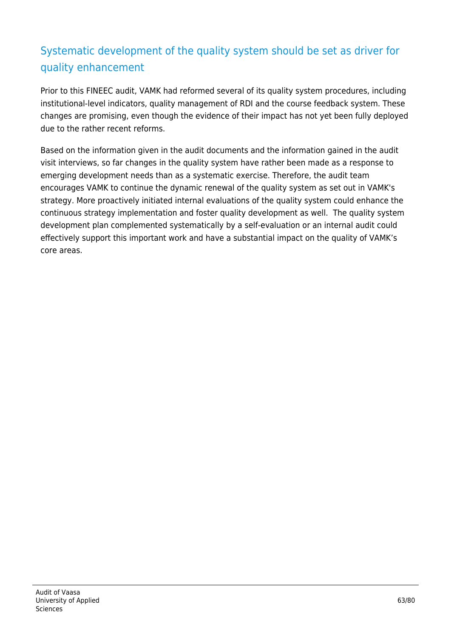## Systematic development of the quality system should be set as driver for quality enhancement

Prior to this FINEEC audit, VAMK had reformed several of its quality system procedures, including institutional-level indicators, quality management of RDI and the course feedback system. These changes are promising, even though the evidence of their impact has not yet been fully deployed due to the rather recent reforms.

Based on the information given in the audit documents and the information gained in the audit visit interviews, so far changes in the quality system have rather been made as a response to emerging development needs than as a systematic exercise. Therefore, the audit team encourages VAMK to continue the dynamic renewal of the quality system as set out in VAMK's strategy. More proactively initiated internal evaluations of the quality system could enhance the continuous strategy implementation and foster quality development as well. The quality system development plan complemented systematically by a self-evaluation or an internal audit could effectively support this important work and have a substantial impact on the quality of VAMK's core areas.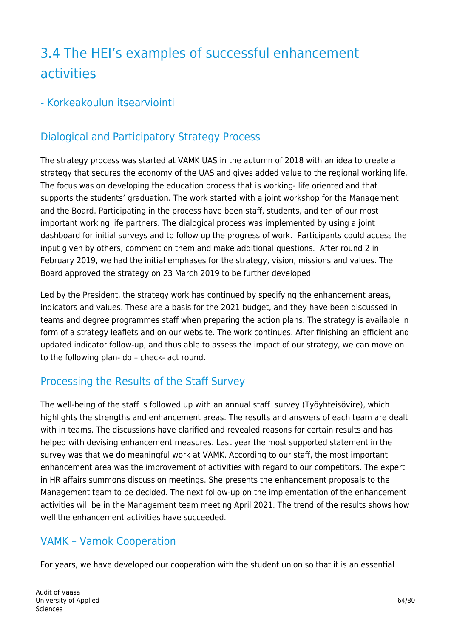# 3.4 The HEI's examples of successful enhancement activities

#### - Korkeakoulun itsearviointi

## Dialogical and Participatory Strategy Process

The strategy process was started at VAMK UAS in the autumn of 2018 with an idea to create a strategy that secures the economy of the UAS and gives added value to the regional working life. The focus was on developing the education process that is working- life oriented and that supports the students' graduation. The work started with a joint workshop for the Management and the Board. Participating in the process have been staff, students, and ten of our most important working life partners. The dialogical process was implemented by using a joint dashboard for initial surveys and to follow up the progress of work. Participants could access the input given by others, comment on them and make additional questions. After round 2 in February 2019, we had the initial emphases for the strategy, vision, missions and values. The Board approved the strategy on 23 March 2019 to be further developed.

Led by the President, the strategy work has continued by specifying the enhancement areas, indicators and values. These are a basis for the 2021 budget, and they have been discussed in teams and degree programmes staff when preparing the action plans. The strategy is available in form of a strategy leaflets and on our website. The work continues. After finishing an efficient and updated indicator follow-up, and thus able to assess the impact of our strategy, we can move on to the following plan- do – check- act round.

## Processing the Results of the Staff Survey

The well-being of the staff is followed up with an annual staff survey (Työyhteisövire), which highlights the strengths and enhancement areas. The results and answers of each team are dealt with in teams. The discussions have clarified and revealed reasons for certain results and has helped with devising enhancement measures. Last year the most supported statement in the survey was that we do meaningful work at VAMK. According to our staff, the most important enhancement area was the improvement of activities with regard to our competitors. The expert in HR affairs summons discussion meetings. She presents the enhancement proposals to the Management team to be decided. The next follow-up on the implementation of the enhancement activities will be in the Management team meeting April 2021. The trend of the results shows how well the enhancement activities have succeeded.

## VAMK – Vamok Cooperation

For years, we have developed our cooperation with the student union so that it is an essential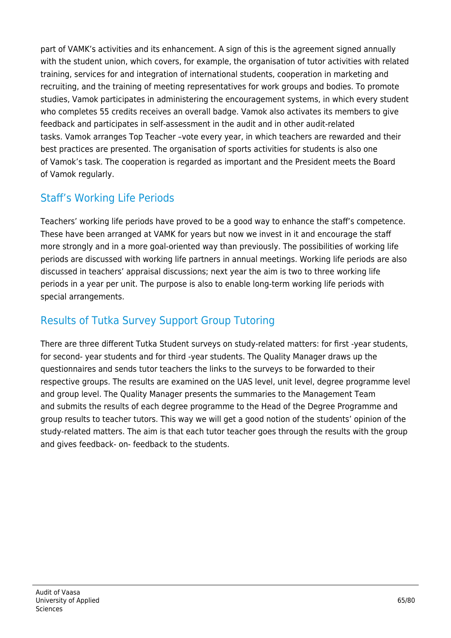part of VAMK's activities and its enhancement. A sign of this is the agreement signed annually with the student union, which covers, for example, the organisation of tutor activities with related training, services for and integration of international students, cooperation in marketing and recruiting, and the training of meeting representatives for work groups and bodies. To promote studies, Vamok participates in administering the encouragement systems, in which every student who completes 55 credits receives an overall badge. Vamok also activates its members to give feedback and participates in self-assessment in the audit and in other audit-related tasks. Vamok arranges Top Teacher –vote every year, in which teachers are rewarded and their best practices are presented. The organisation of sports activities for students is also one of Vamok's task. The cooperation is regarded as important and the President meets the Board of Vamok regularly.

## Staff's Working Life Periods

Teachers' working life periods have proved to be a good way to enhance the staff's competence. These have been arranged at VAMK for years but now we invest in it and encourage the staff more strongly and in a more goal-oriented way than previously. The possibilities of working life periods are discussed with working life partners in annual meetings. Working life periods are also discussed in teachers' appraisal discussions; next year the aim is two to three working life periods in a year per unit. The purpose is also to enable long-term working life periods with special arrangements.

## Results of Tutka Survey Support Group Tutoring

There are three different Tutka Student surveys on study-related matters: for first -year students, for second- year students and for third -year students. The Quality Manager draws up the questionnaires and sends tutor teachers the links to the surveys to be forwarded to their respective groups. The results are examined on the UAS level, unit level, degree programme level and group level. The Quality Manager presents the summaries to the Management Team and submits the results of each degree programme to the Head of the Degree Programme and group results to teacher tutors. This way we will get a good notion of the students' opinion of the study-related matters. The aim is that each tutor teacher goes through the results with the group and gives feedback- on- feedback to the students.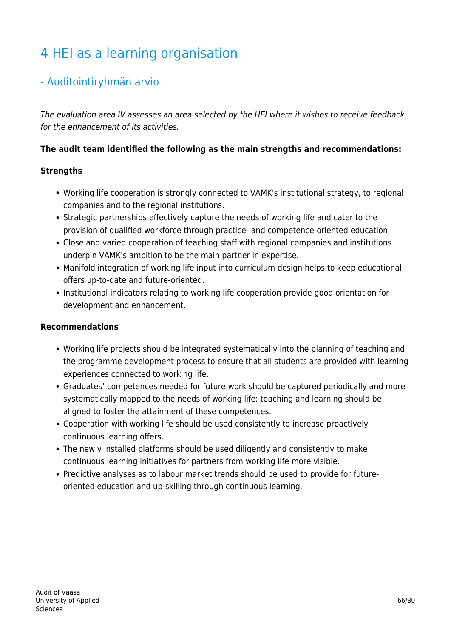# 4 HEI as a learning organisation

#### - Auditointiryhmän arvio

The evaluation area IV assesses an area selected by the HEI where it wishes to receive feedback for the enhancement of its activities.

#### **The audit team identified the following as the main strengths and recommendations:**

#### **Strengths**

- Working life cooperation is strongly connected to VAMK's institutional strategy, to regional companies and to the regional institutions.
- Strategic partnerships effectively capture the needs of working life and cater to the provision of qualified workforce through practice- and competence-oriented education.
- Close and varied cooperation of teaching staff with regional companies and institutions underpin VAMK's ambition to be the main partner in expertise.
- Manifold integration of working life input into curriculum design helps to keep educational offers up-to-date and future-oriented.
- Institutional indicators relating to working life cooperation provide good orientation for development and enhancement.

#### **Recommendations**

- Working life projects should be integrated systematically into the planning of teaching and the programme development process to ensure that all students are provided with learning experiences connected to working life.
- Graduates' competences needed for future work should be captured periodically and more systematically mapped to the needs of working life; teaching and learning should be aligned to foster the attainment of these competences.
- Cooperation with working life should be used consistently to increase proactively continuous learning offers.
- The newly installed platforms should be used diligently and consistently to make continuous learning initiatives for partners from working life more visible.
- Predictive analyses as to labour market trends should be used to provide for futureoriented education and up-skilling through continuous learning.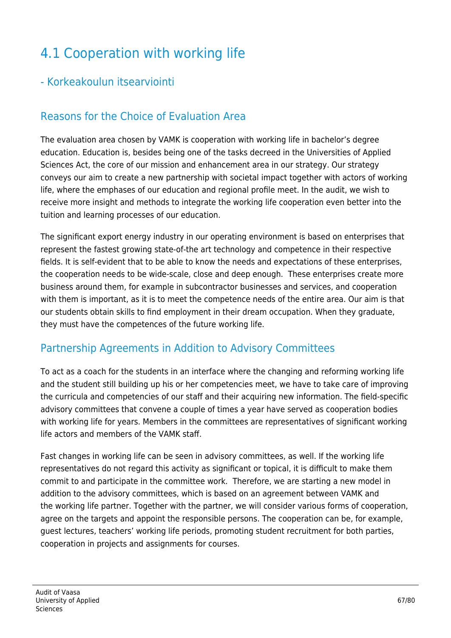# 4.1 Cooperation with working life

#### - Korkeakoulun itsearviointi

## Reasons for the Choice of Evaluation Area

The evaluation area chosen by VAMK is cooperation with working life in bachelor's degree education. Education is, besides being one of the tasks decreed in the Universities of Applied Sciences Act, the core of our mission and enhancement area in our strategy. Our strategy conveys our aim to create a new partnership with societal impact together with actors of working life, where the emphases of our education and regional profile meet. In the audit, we wish to receive more insight and methods to integrate the working life cooperation even better into the tuition and learning processes of our education.

The significant export energy industry in our operating environment is based on enterprises that represent the fastest growing state-of-the art technology and competence in their respective fields. It is self-evident that to be able to know the needs and expectations of these enterprises, the cooperation needs to be wide-scale, close and deep enough. These enterprises create more business around them, for example in subcontractor businesses and services, and cooperation with them is important, as it is to meet the competence needs of the entire area. Our aim is that our students obtain skills to find employment in their dream occupation. When they graduate, they must have the competences of the future working life.

#### Partnership Agreements in Addition to Advisory Committees

To act as a coach for the students in an interface where the changing and reforming working life and the student still building up his or her competencies meet, we have to take care of improving the curricula and competencies of our staff and their acquiring new information. The field-specific advisory committees that convene a couple of times a year have served as cooperation bodies with working life for years. Members in the committees are representatives of significant working life actors and members of the VAMK staff.

Fast changes in working life can be seen in advisory committees, as well. If the working life representatives do not regard this activity as significant or topical, it is difficult to make them commit to and participate in the committee work. Therefore, we are starting a new model in addition to the advisory committees, which is based on an agreement between VAMK and the working life partner. Together with the partner, we will consider various forms of cooperation, agree on the targets and appoint the responsible persons. The cooperation can be, for example, guest lectures, teachers' working life periods, promoting student recruitment for both parties, cooperation in projects and assignments for courses.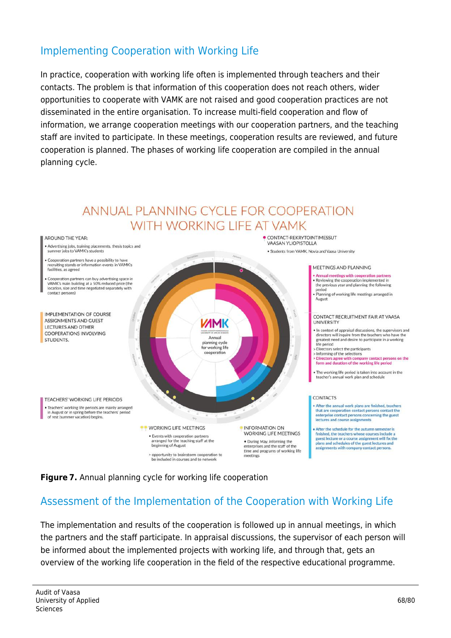#### Implementing Cooperation with Working Life

In practice, cooperation with working life often is implemented through teachers and their contacts. The problem is that information of this cooperation does not reach others, wider opportunities to cooperate with VAMK are not raised and good cooperation practices are not disseminated in the entire organisation. To increase multi-field cooperation and flow of information, we arrange cooperation meetings with our cooperation partners, and the teaching staff are invited to participate. In these meetings, cooperation results are reviewed, and future cooperation is planned. The phases of working life cooperation are compiled in the annual planning cycle.



#### **Figure 7.** Annual planning cycle for working life cooperation

#### Assessment of the Implementation of the Cooperation with Working Life

The implementation and results of the cooperation is followed up in annual meetings, in which the partners and the staff participate. In appraisal discussions, the supervisor of each person will be informed about the implemented projects with working life, and through that, gets an overview of the working life cooperation in the field of the respective educational programme.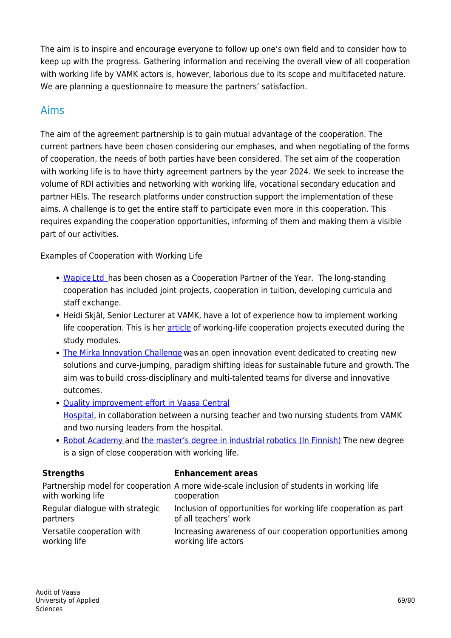The aim is to inspire and encourage everyone to follow up one's own field and to consider how to keep up with the progress. Gathering information and receiving the overall view of all cooperation with working life by VAMK actors is, however, laborious due to its scope and multifaceted nature. We are planning a questionnaire to measure the partners' satisfaction.

#### Aims

The aim of the agreement partnership is to gain mutual advantage of the cooperation. The current partners have been chosen considering our emphases, and when negotiating of the forms of cooperation, the needs of both parties have been considered. The set aim of the cooperation with working life is to have thirty agreement partners by the year 2024. We seek to increase the volume of RDI activities and networking with working life, vocational secondary education and partner HEIs. The research platforms under construction support the implementation of these aims. A challenge is to get the entire staff to participate even more in this cooperation. This requires expanding the cooperation opportunities, informing of them and making them a visible part of our activities.

Examples of Cooperation with Working Life

- [Wapice Ltd  h](https://www.youtube.com/watch?v=lFYSj0HyO7E&feature=youtu.be)as been chosen as a Cooperation Partner of the Year. The long-standing cooperation has included joint projects, cooperation in tuition, developing curricula and staff exchange.
- Heidi Skjäl, Senior Lecturer at VAMK, have a lot of experience how to implement working life cooperation. This is her [article](https://energiaa.vamk.fi/en/komptence/highlights-about-working-life-cooperation-projects-executed-during-the-universitys-study-modules/) of working-life cooperation projects executed during the study modules.
- [The Mirka Innovation Challenge](https://youtu.be/RWAyyodfz-U) was an open innovation event dedicated to creating new solutions and curve-jumping, paradigm shifting ideas for sustainable future and growth. The aim was to build cross-disciplinary and multi-talented teams for diverse and innovative outcomes.
- [Quality improvement effort in Vaasa Central](https://uasjournal.fi/4-2020/sairaanhoitaja-erko/) [Hospital,](https://uasjournal.fi/4-2020/sairaanhoitaja-erko/) in collaboration between a nursing teacher and two nursing students from VAMK and two nursing leaders from the hospital.
- [Robot Academy](https://www.vamk.fi/en/yhteistyo/asiantuntijapalvelut/roboakatemia/) and [the master's degree in industrial robotics \(In Finnish\)](https://www.vamk.fi/fi/news/vaasassa_tehdaan_robottikoulutuksen_historiaa/) The new degree is a sign of close cooperation with working life.

#### **Strengths Enhancement areas**

| with working life               | Partnership model for cooperation A more wide-scale inclusion of students in working life<br>cooperation |
|---------------------------------|----------------------------------------------------------------------------------------------------------|
| Regular dialogue with strategic | Inclusion of opportunities for working life cooperation as part                                          |
| partners                        | of all teachers' work                                                                                    |
| Versatile cooperation with      | Increasing awareness of our cooperation opportunities among                                              |
| working life                    | working life actors                                                                                      |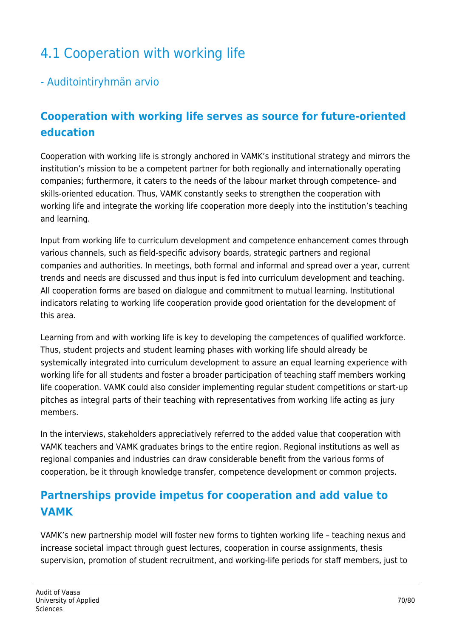# 4.1 Cooperation with working life

#### - Auditointiryhmän arvio

## **Cooperation with working life serves as source for future-oriented education**

Cooperation with working life is strongly anchored in VAMK's institutional strategy and mirrors the institution's mission to be a competent partner for both regionally and internationally operating companies; furthermore, it caters to the needs of the labour market through competence- and skills-oriented education. Thus, VAMK constantly seeks to strengthen the cooperation with working life and integrate the working life cooperation more deeply into the institution's teaching and learning.

Input from working life to curriculum development and competence enhancement comes through various channels, such as field-specific advisory boards, strategic partners and regional companies and authorities. In meetings, both formal and informal and spread over a year, current trends and needs are discussed and thus input is fed into curriculum development and teaching. All cooperation forms are based on dialogue and commitment to mutual learning. Institutional indicators relating to working life cooperation provide good orientation for the development of this area.

Learning from and with working life is key to developing the competences of qualified workforce. Thus, student projects and student learning phases with working life should already be systemically integrated into curriculum development to assure an equal learning experience with working life for all students and foster a broader participation of teaching staff members working life cooperation. VAMK could also consider implementing regular student competitions or start-up pitches as integral parts of their teaching with representatives from working life acting as jury members.

In the interviews, stakeholders appreciatively referred to the added value that cooperation with VAMK teachers and VAMK graduates brings to the entire region. Regional institutions as well as regional companies and industries can draw considerable benefit from the various forms of cooperation, be it through knowledge transfer, competence development or common projects.

## **Partnerships provide impetus for cooperation and add value to VAMK**

VAMK's new partnership model will foster new forms to tighten working life – teaching nexus and increase societal impact through guest lectures, cooperation in course assignments, thesis supervision, promotion of student recruitment, and working-life periods for staff members, just to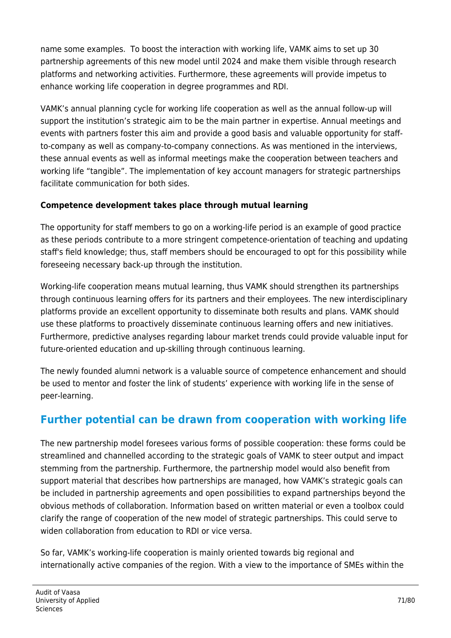name some examples. To boost the interaction with working life, VAMK aims to set up 30 partnership agreements of this new model until 2024 and make them visible through research platforms and networking activities. Furthermore, these agreements will provide impetus to enhance working life cooperation in degree programmes and RDI.

VAMK's annual planning cycle for working life cooperation as well as the annual follow-up will support the institution's strategic aim to be the main partner in expertise. Annual meetings and events with partners foster this aim and provide a good basis and valuable opportunity for staffto-company as well as company-to-company connections. As was mentioned in the interviews, these annual events as well as informal meetings make the cooperation between teachers and working life "tangible". The implementation of key account managers for strategic partnerships facilitate communication for both sides.

#### **Competence development takes place through mutual learning**

The opportunity for staff members to go on a working-life period is an example of good practice as these periods contribute to a more stringent competence-orientation of teaching and updating staff's field knowledge; thus, staff members should be encouraged to opt for this possibility while foreseeing necessary back-up through the institution.

Working-life cooperation means mutual learning, thus VAMK should strengthen its partnerships through continuous learning offers for its partners and their employees. The new interdisciplinary platforms provide an excellent opportunity to disseminate both results and plans. VAMK should use these platforms to proactively disseminate continuous learning offers and new initiatives. Furthermore, predictive analyses regarding labour market trends could provide valuable input for future-oriented education and up-skilling through continuous learning.

The newly founded alumni network is a valuable source of competence enhancement and should be used to mentor and foster the link of students' experience with working life in the sense of peer-learning.

# **Further potential can be drawn from cooperation with working life**

The new partnership model foresees various forms of possible cooperation: these forms could be streamlined and channelled according to the strategic goals of VAMK to steer output and impact stemming from the partnership. Furthermore, the partnership model would also benefit from support material that describes how partnerships are managed, how VAMK's strategic goals can be included in partnership agreements and open possibilities to expand partnerships beyond the obvious methods of collaboration. Information based on written material or even a toolbox could clarify the range of cooperation of the new model of strategic partnerships. This could serve to widen collaboration from education to RDI or vice versa.

So far, VAMK's working-life cooperation is mainly oriented towards big regional and internationally active companies of the region. With a view to the importance of SMEs within the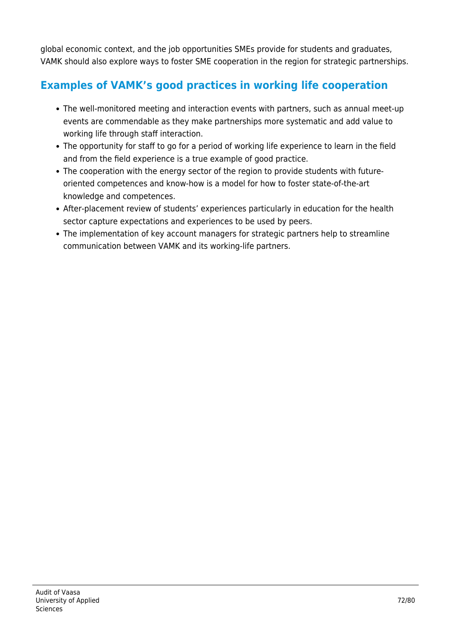global economic context, and the job opportunities SMEs provide for students and graduates, VAMK should also explore ways to foster SME cooperation in the region for strategic partnerships.

## **Examples of VAMK's good practices in working life cooperation**

- The well-monitored meeting and interaction events with partners, such as annual meet-up events are commendable as they make partnerships more systematic and add value to working life through staff interaction.
- The opportunity for staff to go for a period of working life experience to learn in the field and from the field experience is a true example of good practice.
- The cooperation with the energy sector of the region to provide students with futureoriented competences and know-how is a model for how to foster state-of-the-art knowledge and competences.
- After-placement review of students' experiences particularly in education for the health sector capture expectations and experiences to be used by peers.
- The implementation of key account managers for strategic partners help to streamline communication between VAMK and its working-life partners.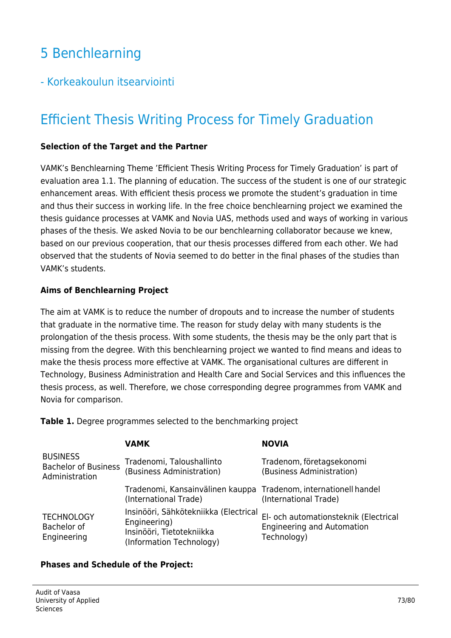# 5 Benchlearning

# - Korkeakoulun itsearviointi

# Efficient Thesis Writing Process for Timely Graduation

### **Selection of the Target and the Partner**

VAMK's Benchlearning Theme 'Efficient Thesis Writing Process for Timely Graduation' is part of evaluation area 1.1. The planning of education. The success of the student is one of our strategic enhancement areas. With efficient thesis process we promote the student's graduation in time and thus their success in working life. In the free choice benchlearning project we examined the thesis guidance processes at VAMK and Novia UAS, methods used and ways of working in various phases of the thesis. We asked Novia to be our benchlearning collaborator because we knew, based on our previous cooperation, that our thesis processes differed from each other. We had observed that the students of Novia seemed to do better in the final phases of the studies than VAMK's students.

### **Aims of Benchlearning Project**

The aim at VAMK is to reduce the number of dropouts and to increase the number of students that graduate in the normative time. The reason for study delay with many students is the prolongation of the thesis process. With some students, the thesis may be the only part that is missing from the degree. With this benchlearning project we wanted to find means and ideas to make the thesis process more effective at VAMK. The organisational cultures are different in Technology, Business Administration and Health Care and Social Services and this influences the thesis process, as well. Therefore, we chose corresponding degree programmes from VAMK and Novia for comparison.

**Table 1.** Degree programmes selected to the benchmarking project

|                                                                  | <b>VAMK</b>                                                                                                    | <b>NOVIA</b>                                                                              |
|------------------------------------------------------------------|----------------------------------------------------------------------------------------------------------------|-------------------------------------------------------------------------------------------|
| <b>BUSINESS</b><br><b>Bachelor of Business</b><br>Administration | Tradenomi, Taloushallinto<br>(Business Administration)                                                         | Tradenom, företagsekonomi<br>(Business Administration)                                    |
|                                                                  | Tradenomi, Kansainvälinen kauppa Tradenom, internationell handel<br>(International Trade)                      | (International Trade)                                                                     |
| <b>TECHNOLOGY</b><br>Bachelor of<br>Engineering                  | Insinööri, Sähkötekniikka (Electrical<br>Engineering)<br>Insinööri, Tietotekniikka<br>(Information Technology) | El- och automationsteknik (Electrical<br><b>Engineering and Automation</b><br>Technology) |

### **Phases and Schedule of the Project:**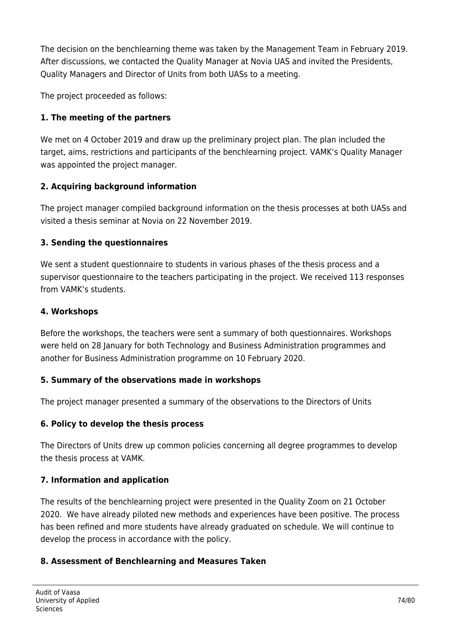The decision on the benchlearning theme was taken by the Management Team in February 2019. After discussions, we contacted the Quality Manager at Novia UAS and invited the Presidents, Quality Managers and Director of Units from both UASs to a meeting.

The project proceeded as follows:

### **1. The meeting of the partners**

We met on 4 October 2019 and draw up the preliminary project plan. The plan included the target, aims, restrictions and participants of the benchlearning project. VAMK's Quality Manager was appointed the project manager.

### **2. Acquiring background information**

The project manager compiled background information on the thesis processes at both UASs and visited a thesis seminar at Novia on 22 November 2019.

### **3. Sending the questionnaires**

We sent a student questionnaire to students in various phases of the thesis process and a supervisor questionnaire to the teachers participating in the project. We received 113 responses from VAMK's students.

### **4. Workshops**

Before the workshops, the teachers were sent a summary of both questionnaires. Workshops were held on 28 January for both Technology and Business Administration programmes and another for Business Administration programme on 10 February 2020.

### **5. Summary of the observations made in workshops**

The project manager presented a summary of the observations to the Directors of Units

### **6. Policy to develop the thesis process**

The Directors of Units drew up common policies concerning all degree programmes to develop the thesis process at VAMK.

### **7. Information and application**

The results of the benchlearning project were presented in the Quality Zoom on 21 October 2020. We have already piloted new methods and experiences have been positive. The process has been refined and more students have already graduated on schedule. We will continue to develop the process in accordance with the policy.

### **8. Assessment of Benchlearning and Measures Taken**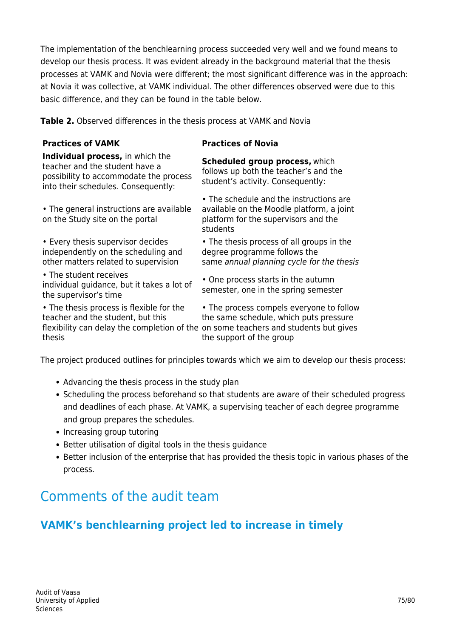The implementation of the benchlearning process succeeded very well and we found means to develop our thesis process. It was evident already in the background material that the thesis processes at VAMK and Novia were different; the most significant difference was in the approach: at Novia it was collective, at VAMK individual. The other differences observed were due to this basic difference, and they can be found in the table below.

**Table 2.** Observed differences in the thesis process at VAMK and Novia

#### **Practices of VAMK Practices of Novia**

**Individual process,** in which the teacher and the student have a possibility to accommodate the process into their schedules. Consequently:

• The general instructions are available on the Study site on the portal

• Every thesis supervisor decides independently on the scheduling and other matters related to supervision

• The student receives individual guidance, but it takes a lot of the supervisor's time

• The thesis process is flexible for the teacher and the student, but this thesis

**Scheduled group process,** which follows up both the teacher's and the student's activity. Consequently:

• The schedule and the instructions are available on the Moodle platform, a joint platform for the supervisors and the students

• The thesis process of all groups in the degree programme follows the same annual planning cycle for the thesis

• One process starts in the autumn semester, one in the spring semester

flexibility can delay the completion of the on some teachers and students but gives • The process compels everyone to follow the same schedule, which puts pressure the support of the group

The project produced outlines for principles towards which we aim to develop our thesis process:

- Advancing the thesis process in the study plan
- Scheduling the process beforehand so that students are aware of their scheduled progress and deadlines of each phase. At VAMK, a supervising teacher of each degree programme and group prepares the schedules.
- Increasing group tutoring
- Better utilisation of digital tools in the thesis guidance
- Better inclusion of the enterprise that has provided the thesis topic in various phases of the process.

# Comments of the audit team

### **VAMK's benchlearning project led to increase in timely**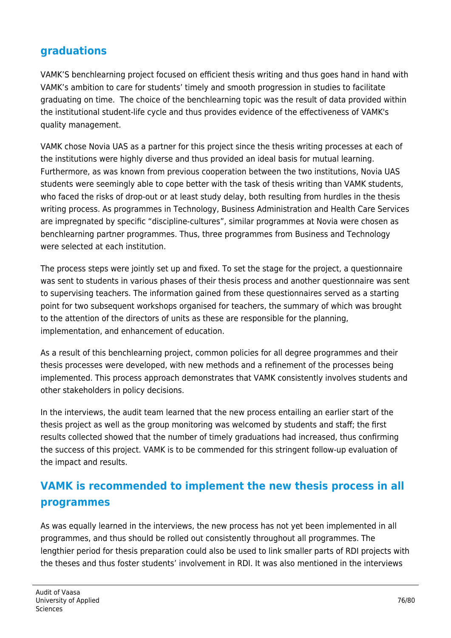### **graduations**

VAMK'S benchlearning project focused on efficient thesis writing and thus goes hand in hand with VAMK's ambition to care for students' timely and smooth progression in studies to facilitate graduating on time. The choice of the benchlearning topic was the result of data provided within the institutional student-life cycle and thus provides evidence of the effectiveness of VAMK's quality management.

VAMK chose Novia UAS as a partner for this project since the thesis writing processes at each of the institutions were highly diverse and thus provided an ideal basis for mutual learning. Furthermore, as was known from previous cooperation between the two institutions, Novia UAS students were seemingly able to cope better with the task of thesis writing than VAMK students, who faced the risks of drop-out or at least study delay, both resulting from hurdles in the thesis writing process. As programmes in Technology, Business Administration and Health Care Services are impregnated by specific "discipline-cultures", similar programmes at Novia were chosen as benchlearning partner programmes. Thus, three programmes from Business and Technology were selected at each institution.

The process steps were jointly set up and fixed. To set the stage for the project, a questionnaire was sent to students in various phases of their thesis process and another questionnaire was sent to supervising teachers. The information gained from these questionnaires served as a starting point for two subsequent workshops organised for teachers, the summary of which was brought to the attention of the directors of units as these are responsible for the planning, implementation, and enhancement of education.

As a result of this benchlearning project, common policies for all degree programmes and their thesis processes were developed, with new methods and a refinement of the processes being implemented. This process approach demonstrates that VAMK consistently involves students and other stakeholders in policy decisions.

In the interviews, the audit team learned that the new process entailing an earlier start of the thesis project as well as the group monitoring was welcomed by students and staff; the first results collected showed that the number of timely graduations had increased, thus confirming the success of this project. VAMK is to be commended for this stringent follow-up evaluation of the impact and results.

# **VAMK is recommended to implement the new thesis process in all programmes**

As was equally learned in the interviews, the new process has not yet been implemented in all programmes, and thus should be rolled out consistently throughout all programmes. The lengthier period for thesis preparation could also be used to link smaller parts of RDI projects with the theses and thus foster students' involvement in RDI. It was also mentioned in the interviews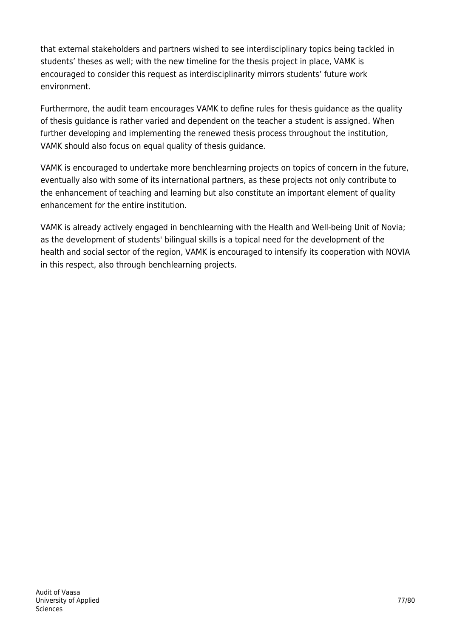that external stakeholders and partners wished to see interdisciplinary topics being tackled in students' theses as well; with the new timeline for the thesis project in place, VAMK is encouraged to consider this request as interdisciplinarity mirrors students' future work environment.

Furthermore, the audit team encourages VAMK to define rules for thesis guidance as the quality of thesis guidance is rather varied and dependent on the teacher a student is assigned. When further developing and implementing the renewed thesis process throughout the institution, VAMK should also focus on equal quality of thesis guidance.

VAMK is encouraged to undertake more benchlearning projects on topics of concern in the future, eventually also with some of its international partners, as these projects not only contribute to the enhancement of teaching and learning but also constitute an important element of quality enhancement for the entire institution.

VAMK is already actively engaged in benchlearning with the Health and Well-being Unit of Novia; as the development of students' bilingual skills is a topical need for the development of the health and social sector of the region, VAMK is encouraged to intensify its cooperation with NOVIA in this respect, also through benchlearning projects.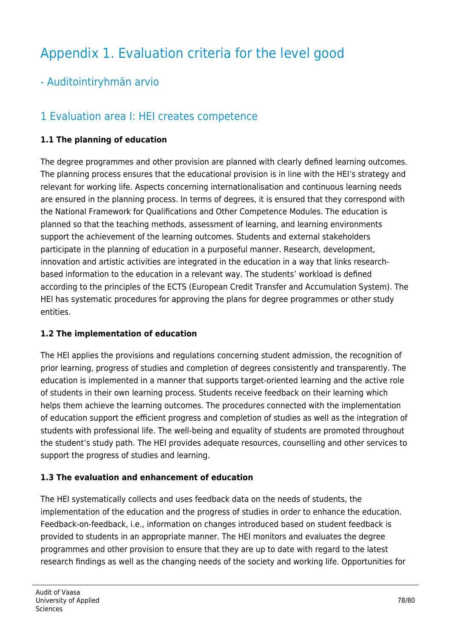# Appendix 1. Evaluation criteria for the level good

## - Auditointiryhmän arvio

## 1 Evaluation area I: HEI creates competence

### **1.1 The planning of education**

The degree programmes and other provision are planned with clearly defined learning outcomes. The planning process ensures that the educational provision is in line with the HEI's strategy and relevant for working life. Aspects concerning internationalisation and continuous learning needs are ensured in the planning process. In terms of degrees, it is ensured that they correspond with the National Framework for Qualifications and Other Competence Modules. The education is planned so that the teaching methods, assessment of learning, and learning environments support the achievement of the learning outcomes. Students and external stakeholders participate in the planning of education in a purposeful manner. Research, development, innovation and artistic activities are integrated in the education in a way that links researchbased information to the education in a relevant way. The students' workload is defined according to the principles of the ECTS (European Credit Transfer and Accumulation System). The HEI has systematic procedures for approving the plans for degree programmes or other study entities.

### **1.2 The implementation of education**

The HEI applies the provisions and regulations concerning student admission, the recognition of prior learning, progress of studies and completion of degrees consistently and transparently. The education is implemented in a manner that supports target-oriented learning and the active role of students in their own learning process. Students receive feedback on their learning which helps them achieve the learning outcomes. The procedures connected with the implementation of education support the efficient progress and completion of studies as well as the integration of students with professional life. The well-being and equality of students are promoted throughout the student's study path. The HEI provides adequate resources, counselling and other services to support the progress of studies and learning.

### **1.3 The evaluation and enhancement of education**

The HEI systematically collects and uses feedback data on the needs of students, the implementation of the education and the progress of studies in order to enhance the education. Feedback-on-feedback, i.e., information on changes introduced based on student feedback is provided to students in an appropriate manner. The HEI monitors and evaluates the degree programmes and other provision to ensure that they are up to date with regard to the latest research findings as well as the changing needs of the society and working life. Opportunities for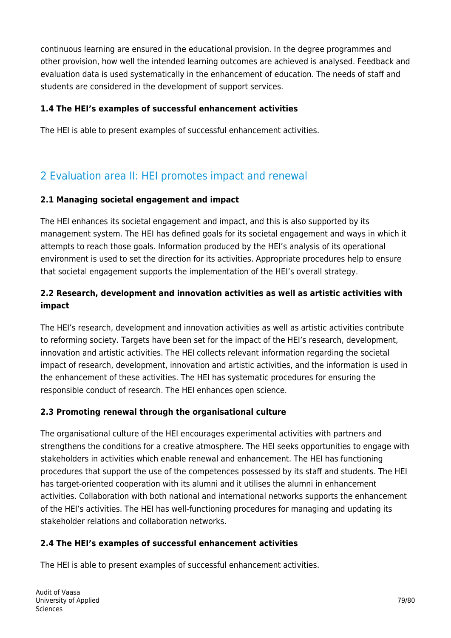continuous learning are ensured in the educational provision. In the degree programmes and other provision, how well the intended learning outcomes are achieved is analysed. Feedback and evaluation data is used systematically in the enhancement of education. The needs of staff and students are considered in the development of support services.

### **1.4 The HEI's examples of successful enhancement activities**

The HEI is able to present examples of successful enhancement activities.

# 2 Evaluation area II: HEI promotes impact and renewal

### **2.1 Managing societal engagement and impact**

The HEI enhances its societal engagement and impact, and this is also supported by its management system. The HEI has defined goals for its societal engagement and ways in which it attempts to reach those goals. Information produced by the HEI's analysis of its operational environment is used to set the direction for its activities. Appropriate procedures help to ensure that societal engagement supports the implementation of the HEI's overall strategy.

### **2.2 Research, development and innovation activities as well as artistic activities with impact**

The HEI's research, development and innovation activities as well as artistic activities contribute to reforming society. Targets have been set for the impact of the HEI's research, development, innovation and artistic activities. The HEI collects relevant information regarding the societal impact of research, development, innovation and artistic activities, and the information is used in the enhancement of these activities. The HEI has systematic procedures for ensuring the responsible conduct of research. The HEI enhances open science.

### **2.3 Promoting renewal through the organisational culture**

The organisational culture of the HEI encourages experimental activities with partners and strengthens the conditions for a creative atmosphere. The HEI seeks opportunities to engage with stakeholders in activities which enable renewal and enhancement. The HEI has functioning procedures that support the use of the competences possessed by its staff and students. The HEI has target-oriented cooperation with its alumni and it utilises the alumni in enhancement activities. Collaboration with both national and international networks supports the enhancement of the HEI's activities. The HEI has well-functioning procedures for managing and updating its stakeholder relations and collaboration networks.

### **2.4 The HEI's examples of successful enhancement activities**

The HEI is able to present examples of successful enhancement activities.